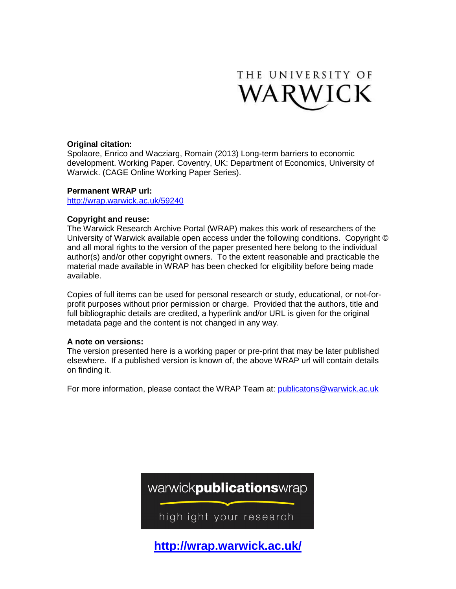

## **Original citation:**

Spolaore, Enrico and Wacziarg, Romain (2013) Long-term barriers to economic development. Working Paper. Coventry, UK: Department of Economics, University of Warwick. (CAGE Online Working Paper Series).

## **Permanent WRAP url:**

<http://wrap.warwick.ac.uk/59240>

## **Copyright and reuse:**

The Warwick Research Archive Portal (WRAP) makes this work of researchers of the University of Warwick available open access under the following conditions. Copyright © and all moral rights to the version of the paper presented here belong to the individual author(s) and/or other copyright owners. To the extent reasonable and practicable the material made available in WRAP has been checked for eligibility before being made available.

Copies of full items can be used for personal research or study, educational, or not-forprofit purposes without prior permission or charge. Provided that the authors, title and full bibliographic details are credited, a hyperlink and/or URL is given for the original metadata page and the content is not changed in any way.

## **A note on versions:**

The version presented here is a working paper or pre-print that may be later published elsewhere. If a published version is known of, the above WRAP url will contain details on finding it.

For more information, please contact the WRAP Team at: [publicatons@warwick.ac.uk](mailto:publicatons@warwick.ac.uk)



**[http://wrap.warwick.ac.uk/](http://go.warwick.ac.uk/)**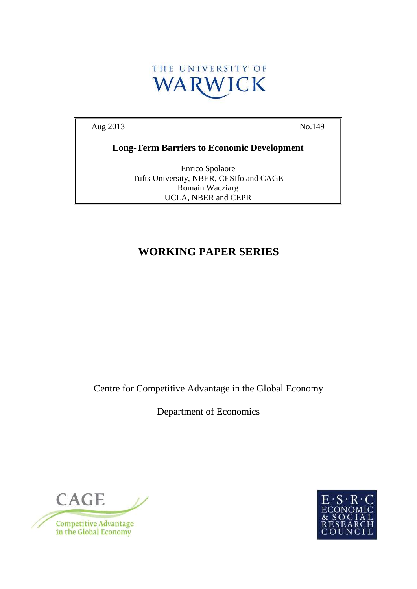

Aug 2013 No.149

# **Long-Term Barriers to Economic Development**

Enrico Spolaore Tufts University, NBER, CESIfo and CAGE Romain Wacziarg UCLA, NBER and CEPR

# **WORKING PAPER SERIES**

Centre for Competitive Advantage in the Global Economy

Department of Economics



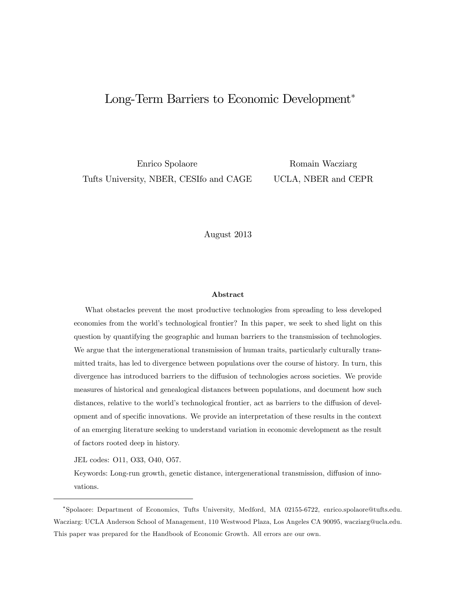# Long-Term Barriers to Economic Development

Enrico Spolaore Tufts University, NBER, CESIfo and CAGE

Romain Wacziarg UCLA, NBER and CEPR

August 2013

#### Abstract

What obstacles prevent the most productive technologies from spreading to less developed economies from the world's technological frontier? In this paper, we seek to shed light on this question by quantifying the geographic and human barriers to the transmission of technologies. We argue that the intergenerational transmission of human traits, particularly culturally transmitted traits, has led to divergence between populations over the course of history. In turn, this divergence has introduced barriers to the diffusion of technologies across societies. We provide measures of historical and genealogical distances between populations, and document how such distances, relative to the world's technological frontier, act as barriers to the diffusion of development and of specific innovations. We provide an interpretation of these results in the context of an emerging literature seeking to understand variation in economic development as the result of factors rooted deep in history.

JEL codes: O11, O33, O40, O57.

Keywords: Long-run growth, genetic distance, intergenerational transmission, diffusion of innovations.

Spolaore: Department of Economics, Tufts University, Medford, MA 02155-6722, enrico.spolaore@tufts.edu. Wacziarg: UCLA Anderson School of Management, 110 Westwood Plaza, Los Angeles CA 90095, wacziarg@ucla.edu. This paper was prepared for the Handbook of Economic Growth. All errors are our own.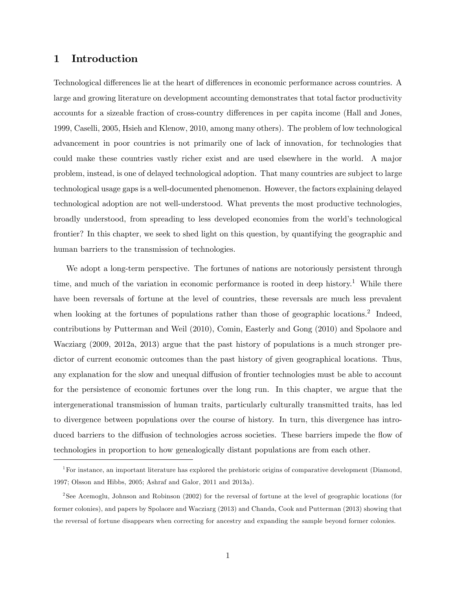## 1 Introduction

Technological differences lie at the heart of differences in economic performance across countries. A large and growing literature on development accounting demonstrates that total factor productivity accounts for a sizeable fraction of cross-country differences in per capita income (Hall and Jones, 1999, Caselli, 2005, Hsieh and Klenow, 2010, among many others). The problem of low technological advancement in poor countries is not primarily one of lack of innovation, for technologies that could make these countries vastly richer exist and are used elsewhere in the world. A major problem, instead, is one of delayed technological adoption. That many countries are subject to large technological usage gaps is a well-documented phenomenon. However, the factors explaining delayed technological adoption are not well-understood. What prevents the most productive technologies, broadly understood, from spreading to less developed economies from the world's technological frontier? In this chapter, we seek to shed light on this question, by quantifying the geographic and human barriers to the transmission of technologies.

We adopt a long-term perspective. The fortunes of nations are notoriously persistent through time, and much of the variation in economic performance is rooted in deep history.<sup>1</sup> While there have been reversals of fortune at the level of countries, these reversals are much less prevalent when looking at the fortunes of populations rather than those of geographic locations.<sup>2</sup> Indeed, contributions by Putterman and Weil (2010), Comin, Easterly and Gong (2010) and Spolaore and Wacziarg (2009, 2012a, 2013) argue that the past history of populations is a much stronger predictor of current economic outcomes than the past history of given geographical locations. Thus, any explanation for the slow and unequal diffusion of frontier technologies must be able to account for the persistence of economic fortunes over the long run. In this chapter, we argue that the intergenerational transmission of human traits, particularly culturally transmitted traits, has led to divergence between populations over the course of history. In turn, this divergence has introduced barriers to the diffusion of technologies across societies. These barriers impede the flow of technologies in proportion to how genealogically distant populations are from each other.

<sup>&</sup>lt;sup>1</sup>For instance, an important literature has explored the prehistoric origins of comparative development (Diamond, 1997; Olsson and Hibbs, 2005; Ashraf and Galor, 2011 and 2013a).

<sup>2</sup> See Acemoglu, Johnson and Robinson (2002) for the reversal of fortune at the level of geographic locations (for former colonies), and papers by Spolaore and Wacziarg (2013) and Chanda, Cook and Putterman (2013) showing that the reversal of fortune disappears when correcting for ancestry and expanding the sample beyond former colonies.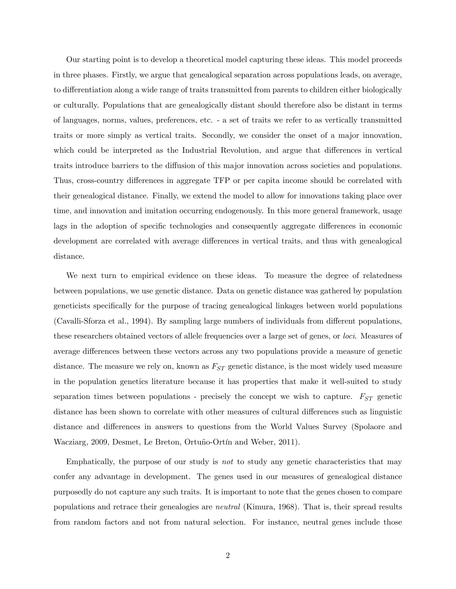Our starting point is to develop a theoretical model capturing these ideas. This model proceeds in three phases. Firstly, we argue that genealogical separation across populations leads, on average, to differentiation along a wide range of traits transmitted from parents to children either biologically or culturally. Populations that are genealogically distant should therefore also be distant in terms of languages, norms, values, preferences, etc. - a set of traits we refer to as vertically transmitted traits or more simply as vertical traits. Secondly, we consider the onset of a major innovation, which could be interpreted as the Industrial Revolution, and argue that differences in vertical traits introduce barriers to the diffusion of this major innovation across societies and populations. Thus, cross-country differences in aggregate TFP or per capita income should be correlated with their genealogical distance. Finally, we extend the model to allow for innovations taking place over time, and innovation and imitation occurring endogenously. In this more general framework, usage lags in the adoption of specific technologies and consequently aggregate differences in economic development are correlated with average differences in vertical traits, and thus with genealogical distance.

We next turn to empirical evidence on these ideas. To measure the degree of relatedness between populations, we use genetic distance. Data on genetic distance was gathered by population geneticists specifically for the purpose of tracing genealogical linkages between world populations (Cavalli-Sforza et al., 1994). By sampling large numbers of individuals from different populations, these researchers obtained vectors of allele frequencies over a large set of genes, or loci. Measures of average differences between these vectors across any two populations provide a measure of genetic distance. The measure we rely on, known as  $F_{ST}$  genetic distance, is the most widely used measure in the population genetics literature because it has properties that make it well-suited to study separation times between populations - precisely the concept we wish to capture.  $F_{ST}$  genetic distance has been shown to correlate with other measures of cultural differences such as linguistic distance and differences in answers to questions from the World Values Survey (Spolaore and Wacziarg, 2009, Desmet, Le Breton, Ortuño-Ortín and Weber, 2011).

Emphatically, the purpose of our study is not to study any genetic characteristics that may confer any advantage in development. The genes used in our measures of genealogical distance purposedly do not capture any such traits. It is important to note that the genes chosen to compare populations and retrace their genealogies are neutral (Kimura, 1968). That is, their spread results from random factors and not from natural selection. For instance, neutral genes include those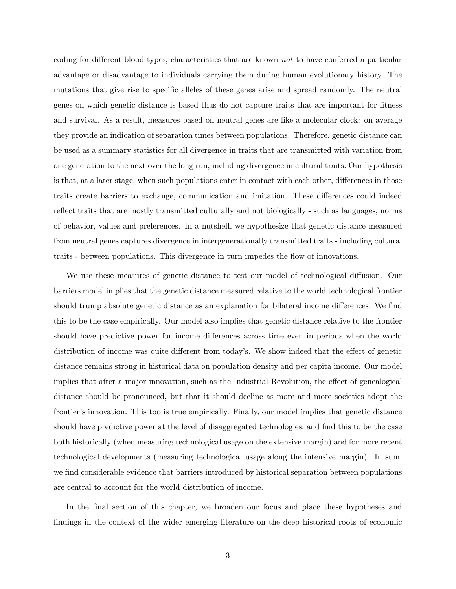coding for different blood types, characteristics that are known not to have conferred a particular advantage or disadvantage to individuals carrying them during human evolutionary history. The mutations that give rise to specific alleles of these genes arise and spread randomly. The neutral genes on which genetic distance is based thus do not capture traits that are important for fitness and survival. As a result, measures based on neutral genes are like a molecular clock: on average they provide an indication of separation times between populations. Therefore, genetic distance can be used as a summary statistics for all divergence in traits that are transmitted with variation from one generation to the next over the long run, including divergence in cultural traits. Our hypothesis is that, at a later stage, when such populations enter in contact with each other, differences in those traits create barriers to exchange, communication and imitation. These differences could indeed reflect traits that are mostly transmitted culturally and not biologically - such as languages, norms of behavior, values and preferences. In a nutshell, we hypothesize that genetic distance measured from neutral genes captures divergence in intergenerationally transmitted traits - including cultural traits - between populations. This divergence in turn impedes the flow of innovations.

We use these measures of genetic distance to test our model of technological diffusion. Our barriers model implies that the genetic distance measured relative to the world technological frontier should trump absolute genetic distance as an explanation for bilateral income differences. We find this to be the case empirically. Our model also implies that genetic distance relative to the frontier should have predictive power for income differences across time even in periods when the world distribution of income was quite different from today's. We show indeed that the effect of genetic distance remains strong in historical data on population density and per capita income. Our model implies that after a major innovation, such as the Industrial Revolution, the effect of genealogical distance should be pronounced, but that it should decline as more and more societies adopt the frontier's innovation. This too is true empirically. Finally, our model implies that genetic distance should have predictive power at the level of disaggregated technologies, and find this to be the case both historically (when measuring technological usage on the extensive margin) and for more recent technological developments (measuring technological usage along the intensive margin). In sum, we find considerable evidence that barriers introduced by historical separation between populations are central to account for the world distribution of income.

In the final section of this chapter, we broaden our focus and place these hypotheses and findings in the context of the wider emerging literature on the deep historical roots of economic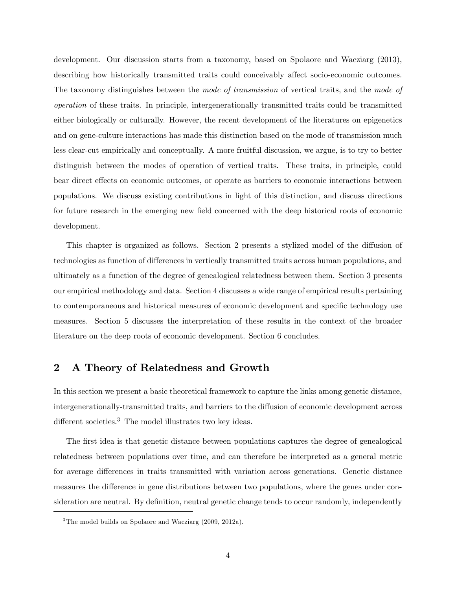development. Our discussion starts from a taxonomy, based on Spolaore and Wacziarg (2013), describing how historically transmitted traits could conceivably affect socio-economic outcomes. The taxonomy distinguishes between the mode of transmission of vertical traits, and the mode of operation of these traits. In principle, intergenerationally transmitted traits could be transmitted either biologically or culturally. However, the recent development of the literatures on epigenetics and on gene-culture interactions has made this distinction based on the mode of transmission much less clear-cut empirically and conceptually. A more fruitful discussion, we argue, is to try to better distinguish between the modes of operation of vertical traits. These traits, in principle, could bear direct effects on economic outcomes, or operate as barriers to economic interactions between populations. We discuss existing contributions in light of this distinction, and discuss directions for future research in the emerging new field concerned with the deep historical roots of economic development.

This chapter is organized as follows. Section 2 presents a stylized model of the diffusion of technologies as function of differences in vertically transmitted traits across human populations, and ultimately as a function of the degree of genealogical relatedness between them. Section 3 presents our empirical methodology and data. Section 4 discusses a wide range of empirical results pertaining to contemporaneous and historical measures of economic development and specific technology use measures. Section 5 discusses the interpretation of these results in the context of the broader literature on the deep roots of economic development. Section 6 concludes.

## 2 A Theory of Relatedness and Growth

In this section we present a basic theoretical framework to capture the links among genetic distance, intergenerationally-transmitted traits, and barriers to the diffusion of economic development across different societies. $3$  The model illustrates two key ideas.

The first idea is that genetic distance between populations captures the degree of genealogical relatedness between populations over time, and can therefore be interpreted as a general metric for average differences in traits transmitted with variation across generations. Genetic distance measures the difference in gene distributions between two populations, where the genes under consideration are neutral. By definition, neutral genetic change tends to occur randomly, independently

<sup>&</sup>lt;sup>3</sup>The model builds on Spolaore and Wacziarg (2009, 2012a).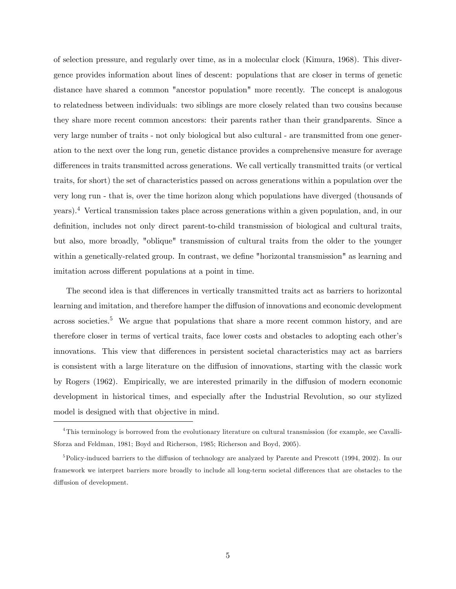of selection pressure, and regularly over time, as in a molecular clock (Kimura, 1968). This divergence provides information about lines of descent: populations that are closer in terms of genetic distance have shared a common "ancestor population" more recently. The concept is analogous to relatedness between individuals: two siblings are more closely related than two cousins because they share more recent common ancestors: their parents rather than their grandparents. Since a very large number of traits - not only biological but also cultural - are transmitted from one generation to the next over the long run, genetic distance provides a comprehensive measure for average differences in traits transmitted across generations. We call vertically transmitted traits (or vertical traits, for short) the set of characteristics passed on across generations within a population over the very long run - that is, over the time horizon along which populations have diverged (thousands of years).<sup>4</sup> Vertical transmission takes place across generations within a given population, and, in our definition, includes not only direct parent-to-child transmission of biological and cultural traits, but also, more broadly, "oblique" transmission of cultural traits from the older to the younger within a genetically-related group. In contrast, we define "horizontal transmission" as learning and imitation across different populations at a point in time.

The second idea is that differences in vertically transmitted traits act as barriers to horizontal learning and imitation, and therefore hamper the diffusion of innovations and economic development  $\alpha$  across societies.<sup>5</sup> We argue that populations that share a more recent common history, and are therefore closer in terms of vertical traits, face lower costs and obstacles to adopting each otherís innovations. This view that differences in persistent societal characteristics may act as barriers is consistent with a large literature on the diffusion of innovations, starting with the classic work by Rogers (1962). Empirically, we are interested primarily in the diffusion of modern economic development in historical times, and especially after the Industrial Revolution, so our stylized model is designed with that objective in mind.

<sup>&</sup>lt;sup>4</sup>This terminology is borrowed from the evolutionary literature on cultural transmission (for example, see Cavalli-Sforza and Feldman, 1981; Boyd and Richerson, 1985; Richerson and Boyd, 2005).

 $5Policy-induced barriers to the diffusion of technology are analyzed by Parente and Present (1994, 2002). In our$ framework we interpret barriers more broadly to include all long-term societal differences that are obstacles to the diffusion of development.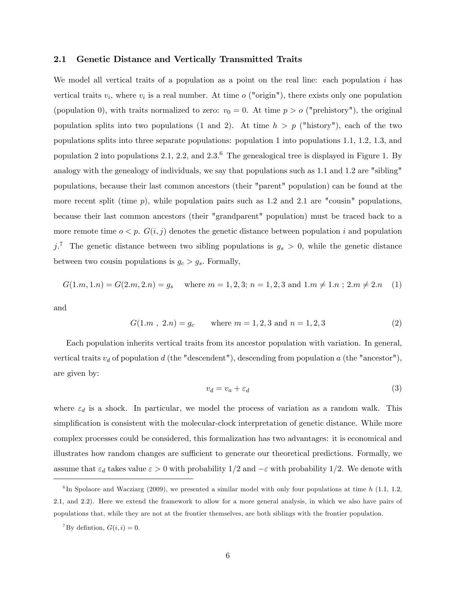#### 2.1 Genetic Distance and Vertically Transmitted Traits

We model all vertical traits of a population as a point on the real line: each population i has vertical traits  $v_i$ , where  $v_i$  is a real number. At time  $o$  ("origin"), there exists only one population (population 0), with traits normalized to zero:  $v_0 = 0$ . At time  $p > o$  ("prehistory"), the original population splits into two populations (1 and 2). At time  $h > p$  ("history"), each of the two populations splits into three separate populations: population 1 into populations 1:1, 1:2, 1:3, and population 2 into populations 2.1, 2.2, and 2.3.<sup>6</sup> The genealogical tree is displayed in Figure 1. By analogy with the genealogy of individuals, we say that populations such as 1:1 and 1:2 are "sibling" populations, because their last common ancestors (their "parent" population) can be found at the more recent split (time  $p$ ), while population pairs such as 1.2 and 2.1 are "cousin" populations, because their last common ancestors (their "grandparent" population) must be traced back to a more remote time  $o < p$ .  $G(i, j)$  denotes the genetic distance between population i and population j.<sup>7</sup> The genetic distance between two sibling populations is  $g_s > 0$ , while the genetic distance between two cousin populations is  $g_c > g_s$ . Formally,

$$
G(1.m, 1.n) = G(2.m, 2.n) = g_s \quad \text{where } m = 1, 2, 3; n = 1, 2, 3 \text{ and } 1.m \neq 1.n; 2.m \neq 2.n \quad (1)
$$

and

$$
G(1.m., 2.n) = g_c \qquad \text{where } m = 1, 2, 3 \text{ and } n = 1, 2, 3 \tag{2}
$$

Each population inherits vertical traits from its ancestor population with variation. In general, vertical traits  $v_d$  of population d (the "descendent"), descending from population a (the "ancestor"), are given by:

$$
v_d = v_a + \varepsilon_d \tag{3}
$$

where  $\varepsilon_d$  is a shock. In particular, we model the process of variation as a random walk. This simplification is consistent with the molecular-clock interpretation of genetic distance. While more complex processes could be considered, this formalization has two advantages: it is economical and illustrates how random changes are sufficient to generate our theoretical predictions. Formally, we assume that  $\varepsilon_d$  takes value  $\varepsilon > 0$  with probability  $1/2$  and  $-\varepsilon$  with probability 1/2. We denote with

<sup>&</sup>lt;sup>6</sup>In Spolaore and Wacziarg (2009), we presented a similar model with only four populations at time h (1.1, 1.2, 2:1, and 2:2). Here we extend the framework to allow for a more general analysis, in which we also have pairs of populations that, while they are not at the frontier themselves, are both siblings with the frontier population.

<sup>&</sup>lt;sup>7</sup>By definition,  $G(i, i) = 0$ .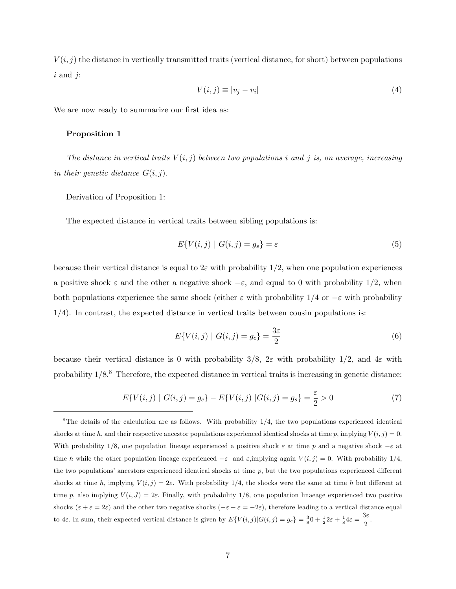$V(i, j)$  the distance in vertically transmitted traits (vertical distance, for short) between populations  $i$  and  $j$ :

$$
V(i,j) \equiv |v_j - v_i| \tag{4}
$$

We are now ready to summarize our first idea as:

#### Proposition 1

The distance in vertical traits  $V(i, j)$  between two populations i and j is, on average, increasing in their genetic distance  $G(i, j)$ .

Derivation of Proposition 1:

The expected distance in vertical traits between sibling populations is:

$$
E\{V(i,j) \mid G(i,j) = g_s\} = \varepsilon
$$
\n(5)

because their vertical distance is equal to  $2\varepsilon$  with probability  $1/2$ , when one population experiences a positive shock  $\varepsilon$  and the other a negative shock  $-\varepsilon$ , and equal to 0 with probability 1/2, when both populations experience the same shock (either  $\varepsilon$  with probability  $1/4$  or  $-\varepsilon$  with probability  $1/4$ ). In contrast, the expected distance in vertical traits between cousin populations is:

$$
E\{V(i,j) \mid G(i,j) = g_c\} = \frac{3\varepsilon}{2}
$$
\n<sup>(6)</sup>

because their vertical distance is 0 with probability  $3/8$ ,  $2\varepsilon$  with probability  $1/2$ , and  $4\varepsilon$  with probability  $1/8$ .<sup>8</sup> Therefore, the expected distance in vertical traits is increasing in genetic distance:

$$
E\{V(i,j) \mid G(i,j) = g_c\} - E\{V(i,j) \mid G(i,j) = g_s\} = \frac{\varepsilon}{2} > 0\tag{7}
$$

<sup>&</sup>lt;sup>8</sup>The details of the calculation are as follows. With probability  $1/4$ , the two populations experienced identical shocks at time h, and their respective ancestor populations experienced identical shocks at time p, implying  $V(i, j) = 0$ . With probability 1/8, one population lineage experienced a positive shock  $\varepsilon$  at time p and a negative shock  $-\varepsilon$  at time h while the other population lineage experienced  $-\varepsilon$  and  $\varepsilon$ , implying again  $V(i, j) = 0$ . With probability  $1/4$ , the two populations' ancestors experienced identical shocks at time  $p$ , but the two populations experienced different shocks at time h, implying  $V(i, j) = 2\varepsilon$ . With probability 1/4, the shocks were the same at time h but different at time p, also implying  $V(i, J) = 2\varepsilon$ . Finally, with probability 1/8, one population linaeage experienced two positive shocks  $(\varepsilon + \varepsilon = 2\varepsilon)$  and the other two negative shocks  $(-\varepsilon - \varepsilon = -2\varepsilon)$ , therefore leading to a vertical distance equal to 4 $\varepsilon$ . In sum, their expected vertical distance is given by  $E\{V(i,j)|G(i,j)=g_c\}=\frac{3}{8}0+\frac{1}{2}2\varepsilon+\frac{1}{8}4\varepsilon=\frac{3\varepsilon}{2}$  $\frac{\pi}{2}$ .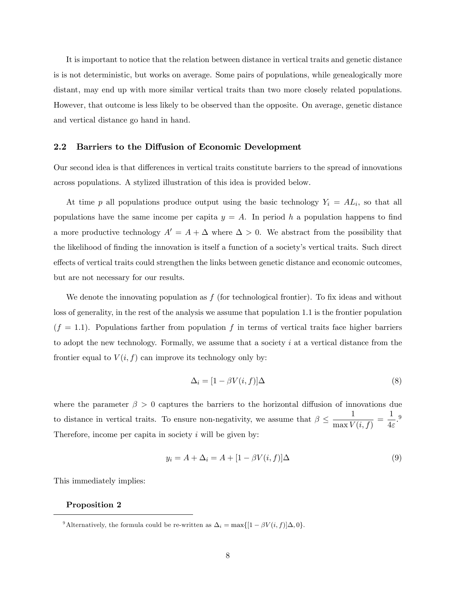It is important to notice that the relation between distance in vertical traits and genetic distance is is not deterministic, but works on average. Some pairs of populations, while genealogically more distant, may end up with more similar vertical traits than two more closely related populations. However, that outcome is less likely to be observed than the opposite. On average, genetic distance and vertical distance go hand in hand.

#### 2.2 Barriers to the Diffusion of Economic Development

Our second idea is that differences in vertical traits constitute barriers to the spread of innovations across populations. A stylized illustration of this idea is provided below.

At time p all populations produce output using the basic technology  $Y_i = AL_i$ , so that all populations have the same income per capita  $y = A$ . In period h a population happens to find a more productive technology  $A' = A + \Delta$  where  $\Delta > 0$ . We abstract from the possibility that the likelihood of finding the innovation is itself a function of a society's vertical traits. Such direct effects of vertical traits could strengthen the links between genetic distance and economic outcomes, but are not necessary for our results.

We denote the innovating population as  $f$  (for technological frontier). To fix ideas and without loss of generality, in the rest of the analysis we assume that population 1.1 is the frontier population  $(f = 1.1)$ . Populations farther from population f in terms of vertical traits face higher barriers to adopt the new technology. Formally, we assume that a society  $i$  at a vertical distance from the frontier equal to  $V(i, f)$  can improve its technology only by:

$$
\Delta_i = [1 - \beta V(i, f)]\Delta \tag{8}
$$

where the parameter  $\beta > 0$  captures the barriers to the horizontal diffusion of innovations due to distance in vertical traits. To ensure non-negativity, we assume that  $\beta \leq \frac{1}{\max V}$  $\frac{1}{\max V(i,f)}=\frac{1}{4\varepsilon}$  $\frac{1}{4\varepsilon}$ .<sup>9</sup> Therefore, income per capita in society  $i$  will be given by:

$$
y_i = A + \Delta_i = A + [1 - \beta V(i, f)]\Delta
$$
\n(9)

This immediately implies:

### Proposition 2

<sup>&</sup>lt;sup>9</sup>Alternatively, the formula could be re-written as  $\Delta_i = \max\{[1 - \beta V(i, f)]\Delta, 0\}.$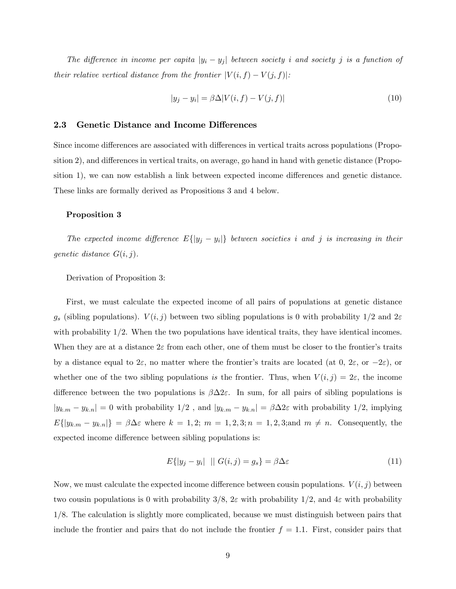The difference in income per capita  $|y_i - y_j|$  between society i and society j is a function of their relative vertical distance from the frontier  $|V(i, f) - V(j, f)|$ :

$$
|y_j - y_i| = \beta \Delta |V(i, f) - V(j, f)| \tag{10}
$$

#### 2.3 Genetic Distance and Income Differences

Since income differences are associated with differences in vertical traits across populations (Proposition 2), and differences in vertical traits, on average, go hand in hand with genetic distance (Proposition 1), we can now establish a link between expected income differences and genetic distance. These links are formally derived as Propositions 3 and 4 below.

#### Proposition 3

The expected income difference  $E\{|y_j - y_i|\}$  between societies i and j is increasing in their genetic distance  $G(i, j)$ .

#### Derivation of Proposition 3:

First, we must calculate the expected income of all pairs of populations at genetic distance  $g_s$  (sibling populations).  $V(i, j)$  between two sibling populations is 0 with probability  $1/2$  and  $2\varepsilon$ with probability  $1/2$ . When the two populations have identical traits, they have identical incomes. When they are at a distance  $2\varepsilon$  from each other, one of them must be closer to the frontier's traits by a distance equal to  $2\varepsilon$ , no matter where the frontier's traits are located (at 0,  $2\varepsilon$ , or  $-2\varepsilon$ ), or whether one of the two sibling populations is the frontier. Thus, when  $V(i, j) = 2\varepsilon$ , the income difference between the two populations is  $\beta \Delta 2\varepsilon$ . In sum, for all pairs of sibling populations is  $|y_{k,m}-y_{k,n}|=0$  with probability  $1/2$ , and  $|y_{k,m}-y_{k,n}|=\beta\Delta 2\varepsilon$  with probability  $1/2$ , implying  $E\{|y_{k,m}-y_{k,n}|\} = \beta \Delta \varepsilon$  where  $k = 1, 2; m = 1, 2, 3; n = 1, 2, 3;$  and  $m \neq n$ . Consequently, the expected income difference between sibling populations is:

$$
E\{|y_j - y_i| \mid |G(i,j) = g_s\} = \beta \Delta \varepsilon \tag{11}
$$

Now, we must calculate the expected income difference between cousin populations.  $V(i, j)$  between two cousin populations is 0 with probability  $3/8$ ,  $2\varepsilon$  with probability  $1/2$ , and  $4\varepsilon$  with probability  $1/8$ . The calculation is slightly more complicated, because we must distinguish between pairs that include the frontier and pairs that do not include the frontier  $f = 1.1$ . First, consider pairs that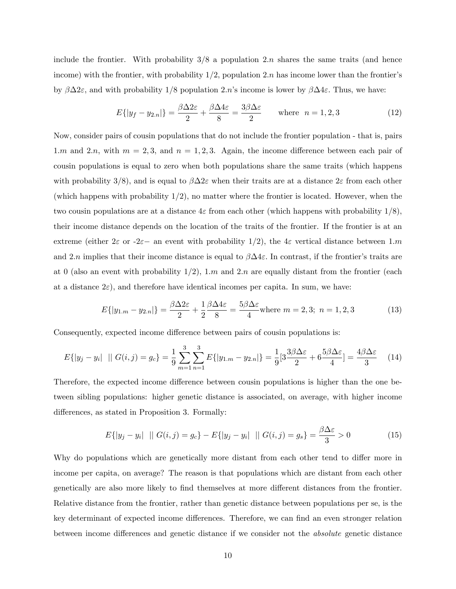include the frontier. With probability  $3/8$  a population 2.n shares the same traits (and hence income) with the frontier, with probability  $1/2$ , population 2.n has income lower than the frontier's by  $\beta \Delta 2\varepsilon$ , and with probability 1/8 population 2.n's income is lower by  $\beta \Delta 4\varepsilon$ . Thus, we have:

$$
E\{|y_f - y_{2,n}|\} = \frac{\beta \Delta 2\varepsilon}{2} + \frac{\beta \Delta 4\varepsilon}{8} = \frac{3\beta \Delta \varepsilon}{2} \quad \text{where} \quad n = 1, 2, 3 \tag{12}
$$

Now, consider pairs of cousin populations that do not include the frontier population - that is, pairs 1.m and 2.n, with  $m = 2,3$ , and  $n = 1,2,3$ . Again, the income difference between each pair of cousin populations is equal to zero when both populations share the same traits (which happens with probability 3/8), and is equal to  $\beta \Delta 2\varepsilon$  when their traits are at a distance  $2\varepsilon$  from each other (which happens with probability  $1/2$ ), no matter where the frontier is located. However, when the two cousin populations are at a distance  $4\varepsilon$  from each other (which happens with probability  $1/8$ ), their income distance depends on the location of the traits of the frontier. If the frontier is at an extreme (either  $2\varepsilon$  or  $-2\varepsilon$  an event with probability 1/2), the  $4\varepsilon$  vertical distance between 1.m and 2.n implies that their income distance is equal to  $\beta \Delta 4\varepsilon$ . In contrast, if the frontier's traits are at 0 (also an event with probability  $1/2$ ), 1:m and 2:n are equally distant from the frontier (each at a distance  $2\varepsilon$ ), and therefore have identical incomes per capita. In sum, we have:

$$
E\{|y_{1,m} - y_{2,n}|\} = \frac{\beta \Delta 2\varepsilon}{2} + \frac{1}{2} \frac{\beta \Delta 4\varepsilon}{8} = \frac{5\beta \Delta \varepsilon}{4} \text{ where } m = 2, 3; n = 1, 2, 3 \tag{13}
$$

Consequently, expected income difference between pairs of cousin populations is:

$$
E\{|y_j - y_i| \mid |G(i,j) = g_c\} = \frac{1}{9} \sum_{m=1}^{3} \sum_{n=1}^{3} E\{|y_{1,m} - y_{2,n}|\} = \frac{1}{9} [3\frac{3\beta\Delta\varepsilon}{2} + 6\frac{5\beta\Delta\varepsilon}{4}] = \frac{4\beta\Delta\varepsilon}{3}
$$
(14)

Therefore, the expected income difference between cousin populations is higher than the one between sibling populations: higher genetic distance is associated, on average, with higher income differences, as stated in Proposition 3. Formally:

$$
E\{|y_j - y_i| \mid |G(i,j) = g_c\} - E\{|y_j - y_i| \mid |G(i,j) = g_s\} = \frac{\beta \Delta \varepsilon}{3} > 0
$$
\n(15)

Why do populations which are genetically more distant from each other tend to differ more in income per capita, on average? The reason is that populations which are distant from each other genetically are also more likely to find themselves at more different distances from the frontier. Relative distance from the frontier, rather than genetic distance between populations per se, is the key determinant of expected income differences. Therefore, we can find an even stronger relation between income differences and genetic distance if we consider not the *absolute* genetic distance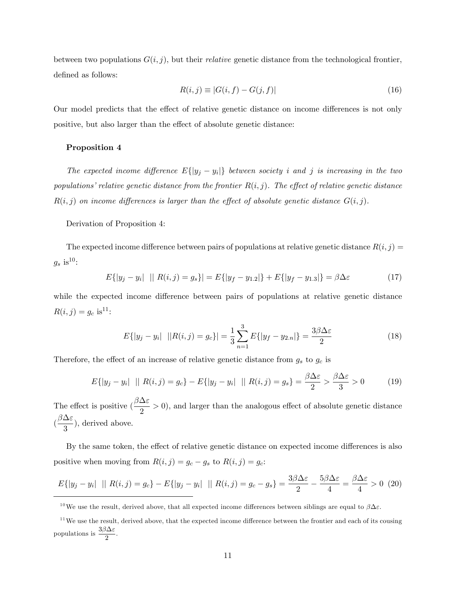between two populations  $G(i, j)$ , but their *relative* genetic distance from the technological frontier, defined as follows:

$$
R(i,j) \equiv |G(i,f) - G(j,f)| \tag{16}
$$

Our model predicts that the effect of relative genetic distance on income differences is not only positive, but also larger than the effect of absolute genetic distance:

#### Proposition 4

The expected income difference  $E\{|y_j - y_i|\}$  between society i and j is increasing in the two populations' relative genetic distance from the frontier  $R(i, j)$ . The effect of relative genetic distance  $R(i, j)$  on income differences is larger than the effect of absolute genetic distance  $G(i, j)$ .

Derivation of Proposition 4:

The expected income difference between pairs of populations at relative genetic distance  $R(i, j)$  =  $g_s$  is<sup>10</sup>:

$$
E\{|y_j - y_i| \mid |R(i,j) = g_s\}| = E\{|y_f - y_{1,2}|\} + E\{|y_f - y_{1,3}|\} = \beta \Delta \varepsilon
$$
\n(17)

while the expected income difference between pairs of populations at relative genetic distance  $R(i, j) = g_c$  is<sup>11</sup>:

$$
E\{|y_j - y_i| \t || R(i,j) = g_c\}| = \frac{1}{3} \sum_{n=1}^{3} E\{|y_f - y_{2,n}|\} = \frac{3\beta\Delta\varepsilon}{2}
$$
 (18)

Therefore, the effect of an increase of relative genetic distance from  $g_s$  to  $g_c$  is

$$
E\{|y_j - y_i| \mid R(i,j) = g_c\} - E\{|y_j - y_i| \mid R(i,j) = g_s\} = \frac{\beta \Delta \varepsilon}{2} > \frac{\beta \Delta \varepsilon}{3} > 0
$$
 (19)

The effect is positive  $(\frac{\beta \Delta \varepsilon}{2} > 0)$ , and larger than the analogous effect of absolute genetic distance  $\frac{\beta\Delta\varepsilon}{2}$  $\frac{12}{3}$ , derived above.

By the same token, the effect of relative genetic distance on expected income differences is also positive when moving from  $R(i, j) = g_c - g_s$  to  $R(i, j) = g_c$ :

$$
E\{|y_j - y_i| \mid |R(i,j) = g_c\} - E\{|y_j - y_i| \mid |R(i,j) = g_c - g_s\} = \frac{3\beta\Delta\varepsilon}{2} - \frac{5\beta\Delta\varepsilon}{4} = \frac{\beta\Delta\varepsilon}{4} > 0
$$
 (20)

<sup>&</sup>lt;sup>10</sup>We use the result, derived above, that all expected income differences between siblings are equal to  $\beta \Delta \varepsilon$ .

 $11$ We use the result, derived above, that the expected income difference between the frontier and each of its cousing populations is  $\frac{3\beta\Delta\varepsilon}{2}$ .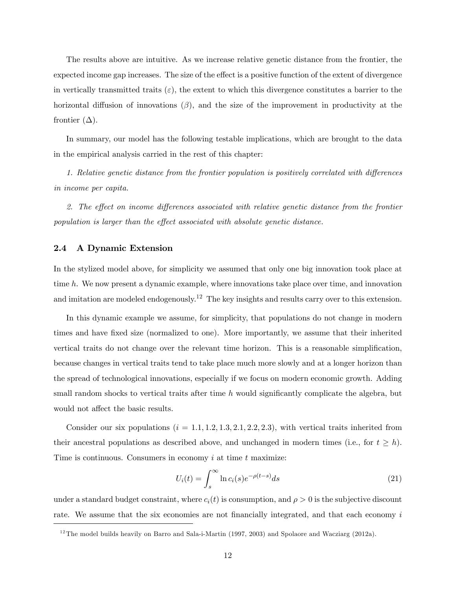The results above are intuitive. As we increase relative genetic distance from the frontier, the expected income gap increases. The size of the effect is a positive function of the extent of divergence in vertically transmitted traits  $(\varepsilon)$ , the extent to which this divergence constitutes a barrier to the horizontal diffusion of innovations  $(\beta)$ , and the size of the improvement in productivity at the frontier  $(\Delta)$ .

In summary, our model has the following testable implications, which are brought to the data in the empirical analysis carried in the rest of this chapter:

1. Relative genetic distance from the frontier population is positively correlated with differences in income per capita.

2. The effect on income differences associated with relative genetic distance from the frontier population is larger than the effect associated with absolute genetic distance.

#### 2.4 A Dynamic Extension

In the stylized model above, for simplicity we assumed that only one big innovation took place at time h. We now present a dynamic example, where innovations take place over time, and innovation and imitation are modeled endogenously.<sup>12</sup> The key insights and results carry over to this extension.

In this dynamic example we assume, for simplicity, that populations do not change in modern times and have fixed size (normalized to one). More importantly, we assume that their inherited vertical traits do not change over the relevant time horizon. This is a reasonable simplification, because changes in vertical traits tend to take place much more slowly and at a longer horizon than the spread of technological innovations, especially if we focus on modern economic growth. Adding small random shocks to vertical traits after time  $h$  would significantly complicate the algebra, but would not affect the basic results.

Consider our six populations  $(i = 1.1, 1.2, 1.3, 2.1, 2.2, 2.3)$ , with vertical traits inherited from their ancestral populations as described above, and unchanged in modern times (i.e., for  $t \geq h$ ). Time is continuous. Consumers in economy  $i$  at time  $t$  maximize:

$$
U_i(t) = \int_s^\infty \ln c_i(s) e^{-\rho(t-s)} ds \tag{21}
$$

under a standard budget constraint, where  $c_i(t)$  is consumption, and  $\rho > 0$  is the subjective discount rate. We assume that the six economies are not financially integrated, and that each economy  $i$ 

 $12$ The model builds heavily on Barro and Sala-i-Martin (1997, 2003) and Spolaore and Wacziarg (2012a).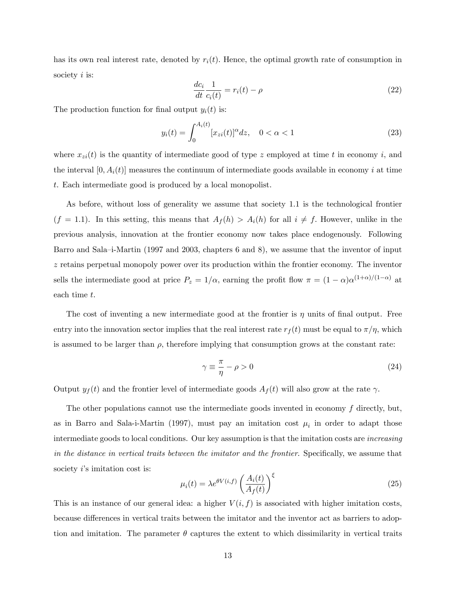has its own real interest rate, denoted by  $r<sub>i</sub>(t)$ . Hence, the optimal growth rate of consumption in society *i* is:

$$
\frac{dc_i}{dt}\frac{1}{c_i(t)} = r_i(t) - \rho \tag{22}
$$

The production function for final output  $y_i(t)$  is:

$$
y_i(t) = \int_0^{A_i(t)} [x_{zi}(t)]^{\alpha} dz, \quad 0 < \alpha < 1
$$
 (23)

where  $x_{zi}(t)$  is the quantity of intermediate good of type z employed at time t in economy i, and the interval  $[0, A_i(t)]$  measures the continuum of intermediate goods available in economy i at time t. Each intermediate good is produced by a local monopolist.

As before, without loss of generality we assume that society 1.1 is the technological frontier  $(f = 1.1)$ . In this setting, this means that  $A_f(h) > A_i(h)$  for all  $i \neq f$ . However, unlike in the previous analysis, innovation at the frontier economy now takes place endogenously. Following Barro and Sala–i-Martin (1997 and 2003, chapters 6 and 8), we assume that the inventor of input z retains perpetual monopoly power over its production within the frontier economy. The inventor sells the intermediate good at price  $P_z = 1/\alpha$ , earning the profit flow  $\pi = (1-\alpha)\alpha^{(1+\alpha)/(1-\alpha)}$  at each time t.

The cost of inventing a new intermediate good at the frontier is  $\eta$  units of final output. Free entry into the innovation sector implies that the real interest rate  $r<sub>f</sub>(t)$  must be equal to  $\pi/\eta$ , which is assumed to be larger than  $\rho$ , therefore implying that consumption grows at the constant rate:

$$
\gamma \equiv \frac{\pi}{\eta} - \rho > 0 \tag{24}
$$

Output  $y_f(t)$  and the frontier level of intermediate goods  $A_f(t)$  will also grow at the rate  $\gamma$ .

The other populations cannot use the intermediate goods invented in economy f directly, but, as in Barro and Sala-i-Martin (1997), must pay an imitation cost  $\mu_i$  in order to adapt those intermediate goods to local conditions. Our key assumption is that the imitation costs are increasing in the distance in vertical traits between the imitator and the frontier. Specifically, we assume that society  $i$ 's imitation cost is:

$$
\mu_i(t) = \lambda e^{\theta V(i,f)} \left( \frac{A_i(t)}{A_f(t)} \right)^{\xi} \tag{25}
$$

This is an instance of our general idea: a higher  $V(i, f)$  is associated with higher imitation costs, because differences in vertical traits between the imitator and the inventor act as barriers to adoption and imitation. The parameter  $\theta$  captures the extent to which dissimilarity in vertical traits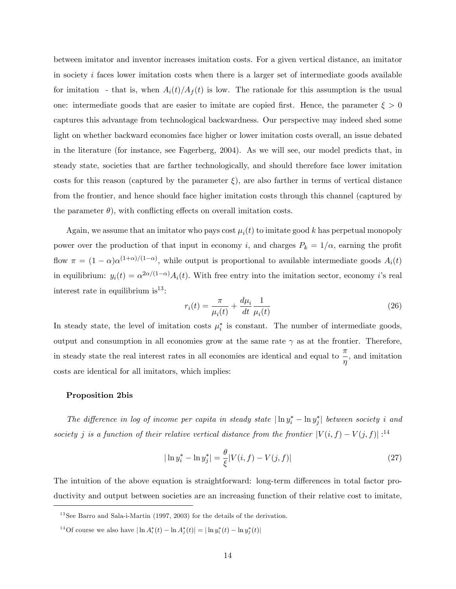between imitator and inventor increases imitation costs. For a given vertical distance, an imitator in society  $i$  faces lower imitation costs when there is a larger set of intermediate goods available for imitation - that is, when  $A_i(t)/A_f(t)$  is low. The rationale for this assumption is the usual one: intermediate goods that are easier to imitate are copied first. Hence, the parameter  $\xi > 0$ captures this advantage from technological backwardness. Our perspective may indeed shed some light on whether backward economies face higher or lower imitation costs overall, an issue debated in the literature (for instance, see Fagerberg, 2004). As we will see, our model predicts that, in steady state, societies that are farther technologically, and should therefore face lower imitation costs for this reason (captured by the parameter  $\xi$ ), are also farther in terms of vertical distance from the frontier, and hence should face higher imitation costs through this channel (captured by the parameter  $\theta$ ), with conflicting effects on overall imitation costs.

Again, we assume that an imitator who pays cost  $\mu_i(t)$  to imitate good k has perpetual monopoly power over the production of that input in economy i, and charges  $P_k = 1/\alpha$ , earning the profit flow  $\pi = (1 - \alpha)\alpha^{(1+\alpha)/(1-\alpha)}$ , while output is proportional to available intermediate goods  $A_i(t)$ in equilibrium:  $y_i(t) = \alpha^{2\alpha/(1-\alpha)} A_i(t)$ . With free entry into the imitation sector, economy *i*'s real interest rate in equilibrium is  $13$ :

$$
r_i(t) = \frac{\pi}{\mu_i(t)} + \frac{d\mu_i}{dt} \frac{1}{\mu_i(t)}
$$
\n(26)

In steady state, the level of imitation costs  $\mu_i^*$  is constant. The number of intermediate goods, output and consumption in all economies grow at the same rate  $\gamma$  as at the frontier. Therefore, in steady state the real interest rates in all economies are identical and equal to  $\frac{\pi}{\eta}$ , and imitation costs are identical for all imitators, which implies:

#### Proposition 2bis

The difference in log of income per capita in steady state  $|\ln y_i^* - \ln y_j^*|$  between society i and society j is a function of their relative vertical distance from the frontier  $|V(i, f) - V(j, f)|$ :<sup>14</sup>

$$
|\ln y_i^* - \ln y_j^*| = \frac{\theta}{\xi} |V(i, f) - V(j, f)| \tag{27}
$$

The intuition of the above equation is straightforward: long-term differences in total factor productivity and output between societies are an increasing function of their relative cost to imitate,

<sup>&</sup>lt;sup>13</sup>See Barro and Sala-i-Martin (1997, 2003) for the details of the derivation.

<sup>&</sup>lt;sup>14</sup>Of course we also have  $|\ln A_i^*(t) - \ln A_j^*(t)| = |\ln y_i^*(t) - \ln y_j^*(t)|$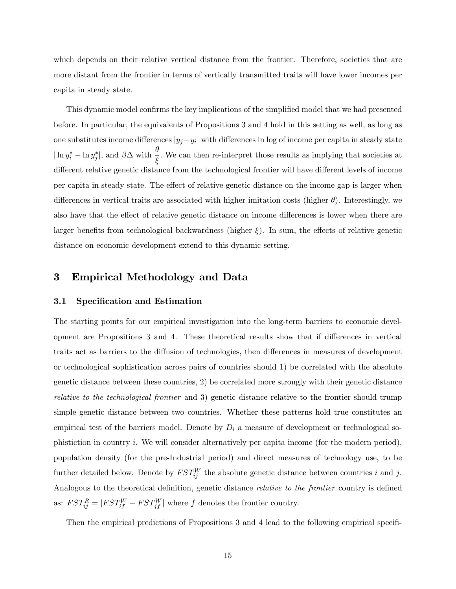which depends on their relative vertical distance from the frontier. Therefore, societies that are more distant from the frontier in terms of vertically transmitted traits will have lower incomes per capita in steady state.

This dynamic model confirms the key implications of the simplified model that we had presented before. In particular, the equivalents of Propositions 3 and 4 hold in this setting as well, as long as one substitutes income differences  $|y_j - y_i|$  with differences in log of income per capita in steady state  $|\ln y_i^* - \ln y_j^*|$ , and  $\beta \Delta$  with  $\frac{\theta}{\xi}$ . We can then re-interpret those results as implying that societies at different relative genetic distance from the technological frontier will have different levels of income per capita in steady state. The effect of relative genetic distance on the income gap is larger when differences in vertical traits are associated with higher imitation costs (higher  $\theta$ ). Interestingly, we also have that the effect of relative genetic distance on income differences is lower when there are larger benefits from technological backwardness (higher  $\xi$ ). In sum, the effects of relative genetic distance on economic development extend to this dynamic setting.

## 3 Empirical Methodology and Data

#### 3.1 Specification and Estimation

The starting points for our empirical investigation into the long-term barriers to economic development are Propositions 3 and 4. These theoretical results show that if differences in vertical traits act as barriers to the diffusion of technologies, then differences in measures of development or technological sophistication across pairs of countries should 1) be correlated with the absolute genetic distance between these countries, 2) be correlated more strongly with their genetic distance relative to the technological frontier and 3) genetic distance relative to the frontier should trump simple genetic distance between two countries. Whether these patterns hold true constitutes an empirical test of the barriers model. Denote by  $D_i$  a measure of development or technological sophistiction in country i. We will consider alternatively per capita income (for the modern period), population density (for the pre-Industrial period) and direct measures of technology use, to be further detailed below. Denote by  $FST_{ij}^W$  the absolute genetic distance between countries i and j. Analogous to the theoretical definition, genetic distance relative to the frontier country is defined as:  $FST_{ij}^R = |FST_{if}^W - FST_{jf}^W|$  where f denotes the frontier country.

Then the empirical predictions of Propositions 3 and 4 lead to the following empirical specifi-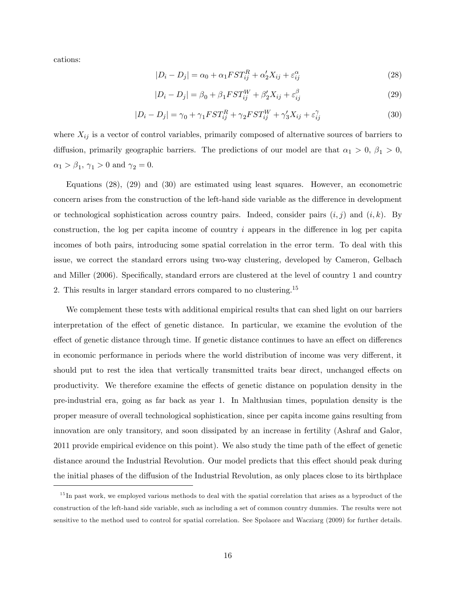cations:

$$
|D_i - D_j| = \alpha_0 + \alpha_1 FST_{ij}^R + \alpha_2' X_{ij} + \varepsilon_{ij}^\alpha
$$
\n(28)

$$
|D_i - D_j| = \beta_0 + \beta_1 FST_{ij}^W + \beta_2' X_{ij} + \varepsilon_{ij}^\beta
$$
\n(29)

$$
|D_i - D_j| = \gamma_0 + \gamma_1 FST_{ij}^R + \gamma_2 FST_{ij}^W + \gamma_3' X_{ij} + \varepsilon_{ij}^\gamma
$$
\n(30)

where  $X_{ij}$  is a vector of control variables, primarily composed of alternative sources of barriers to diffusion, primarily geographic barriers. The predictions of our model are that  $\alpha_1 > 0$ ,  $\beta_1 > 0$ ,  $\alpha_1 > \beta_1$ ,  $\gamma_1 > 0$  and  $\gamma_2 = 0$ .

Equations (28), (29) and (30) are estimated using least squares. However, an econometric concern arises from the construction of the left-hand side variable as the difference in development or technological sophistication across country pairs. Indeed, consider pairs  $(i, j)$  and  $(i, k)$ . By construction, the log per capita income of country  $i$  appears in the difference in log per capita incomes of both pairs, introducing some spatial correlation in the error term. To deal with this issue, we correct the standard errors using two-way clustering, developed by Cameron, Gelbach and Miller (2006). Specifically, standard errors are clustered at the level of country 1 and country 2. This results in larger standard errors compared to no clustering.<sup>15</sup>

We complement these tests with additional empirical results that can shed light on our barriers interpretation of the effect of genetic distance. In particular, we examine the evolution of the effect of genetic distance through time. If genetic distance continues to have an effect on differencs in economic performance in periods where the world distribution of income was very different, it should put to rest the idea that vertically transmitted traits bear direct, unchanged effects on productivity. We therefore examine the effects of genetic distance on population density in the pre-industrial era, going as far back as year 1. In Malthusian times, population density is the proper measure of overall technological sophistication, since per capita income gains resulting from innovation are only transitory, and soon dissipated by an increase in fertility (Ashraf and Galor, 2011 provide empirical evidence on this point). We also study the time path of the effect of genetic distance around the Industrial Revolution. Our model predicts that this effect should peak during the initial phases of the diffusion of the Industrial Revolution, as only places close to its birthplace

 $15$  In past work, we employed various methods to deal with the spatial correlation that arises as a byproduct of the construction of the left-hand side variable, such as including a set of common country dummies. The results were not sensitive to the method used to control for spatial correlation. See Spolaore and Wacziarg (2009) for further details.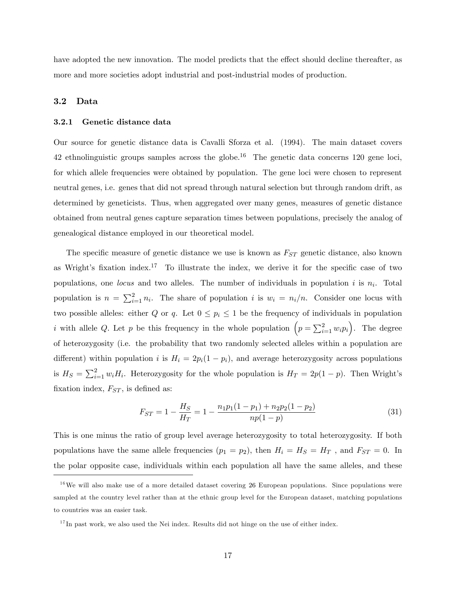have adopted the new innovation. The model predicts that the effect should decline thereafter, as more and more societies adopt industrial and post-industrial modes of production.

#### 3.2 Data

#### 3.2.1 Genetic distance data

Our source for genetic distance data is Cavalli Sforza et al. (1994). The main dataset covers 42 ethnolinguistic groups samples across the globe.<sup>16</sup> The genetic data concerns 120 gene loci, for which allele frequencies were obtained by population. The gene loci were chosen to represent neutral genes, i.e. genes that did not spread through natural selection but through random drift, as determined by geneticists. Thus, when aggregated over many genes, measures of genetic distance obtained from neutral genes capture separation times between populations, precisely the analog of genealogical distance employed in our theoretical model.

The specific measure of genetic distance we use is known as  $F_{ST}$  genetic distance, also known as Wright's fixation index.<sup>17</sup> To illustrate the index, we derive it for the specific case of two populations, one *locus* and two alleles. The number of individuals in population i is  $n_i$ . Total population is  $n = \sum_{i=1}^{2} n_i$ . The share of population i is  $w_i = n_i/n$ . Consider one locus with two possible alleles: either Q or q. Let  $0 \leq p_i \leq 1$  be the frequency of individuals in population i with allele Q. Let p be this frequency in the whole population  $(p = \sum_{i=1}^{n} w_i p_i)$ . The degree of heterozygosity (i.e. the probability that two randomly selected alleles within a population are different) within population i is  $H_i = 2p_i(1 - p_i)$ , and average heterozygosity across populations is  $H_S = \sum_{i=1}^2 w_i H_i$ . Heterozygosity for the whole population is  $H_T = 2p(1-p)$ . Then Wright's fixation index,  $F_{ST}$ , is defined as:

$$
F_{ST} = 1 - \frac{H_S}{H_T} = 1 - \frac{n_1 p_1 (1 - p_1) + n_2 p_2 (1 - p_2)}{np(1 - p)}
$$
(31)

This is one minus the ratio of group level average heterozygosity to total heterozygosity. If both populations have the same allele frequencies  $(p_1 = p_2)$ , then  $H_i = H_S = H_T$ , and  $F_{ST} = 0$ . In the polar opposite case, individuals within each population all have the same alleles, and these

 $16\,\text{We will also make use of a more detailed dataset covering 26 European populations. Since populations were$ sampled at the country level rather than at the ethnic group level for the European dataset, matching populations to countries was an easier task.

 $17$  In past work, we also used the Nei index. Results did not hinge on the use of either index.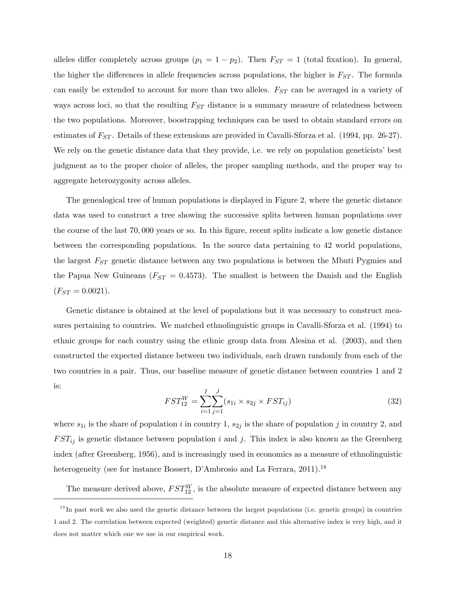alleles differ completely across groups  $(p_1 = 1 - p_2)$ . Then  $F_{ST} = 1$  (total fixation). In general, the higher the differences in allele frequencies across populations, the higher is  $F_{ST}$ . The formula can easily be extended to account for more than two alleles.  $F_{ST}$  can be averaged in a variety of ways across loci, so that the resulting  $F_{ST}$  distance is a summary measure of relatedness between the two populations. Moreover, boostrapping techniques can be used to obtain standard errors on estimates of  $F_{ST}$ . Details of these extensions are provided in Cavalli-Sforza et al. (1994, pp. 26-27). We rely on the genetic distance data that they provide, i.e. we rely on population geneticists' best judgment as to the proper choice of alleles, the proper sampling methods, and the proper way to aggregate heterozygosity across alleles.

The genealogical tree of human populations is displayed in Figure 2, where the genetic distance data was used to construct a tree showing the successive splits between human populations over the course of the last 70,000 years or so. In this figure, recent splits indicate a low genetic distance between the corresponding populations. In the source data pertaining to 42 world populations, the largest  $F_{ST}$  genetic distance between any two populations is between the Mbuti Pygmies and the Papua New Guineans ( $F_{ST} = 0.4573$ ). The smallest is between the Danish and the English  $(F_{ST} = 0.0021).$ 

Genetic distance is obtained at the level of populations but it was necessary to construct measures pertaining to countries. We matched ethnolinguistic groups in Cavalli-Sforza et al. (1994) to ethnic groups for each country using the ethnic group data from Alesina et al. (2003), and then constructed the expected distance between two individuals, each drawn randomly from each of the two countries in a pair. Thus, our baseline measure of genetic distance between countries 1 and 2 is:

$$
FST_{12}^W = \sum_{i=1}^{I} \sum_{j=1}^{J} (s_{1i} \times s_{2j} \times FST_{ij})
$$
\n(32)

where  $s_{1i}$  is the share of population i in country 1,  $s_{2j}$  is the share of population j in country 2, and  $FST_{ij}$  is genetic distance between population i and j. This index is also known as the Greenberg index (after Greenberg, 1956), and is increasingly used in economics as a measure of ethnolinguistic heterogeneity (see for instance Bossert, D'Ambrosio and La Ferrara, 2011).<sup>18</sup>

The measure derived above,  $FST_{12}^W$ , is the absolute measure of expected distance between any

 $^{18}$ In past work we also used the genetic distance between the largest populations (i.e. genetic groups) in countries 1 and 2. The correlation between expected (weighted) genetic distance and this alternative index is very high, and it does not matter which one we use in our empirical work.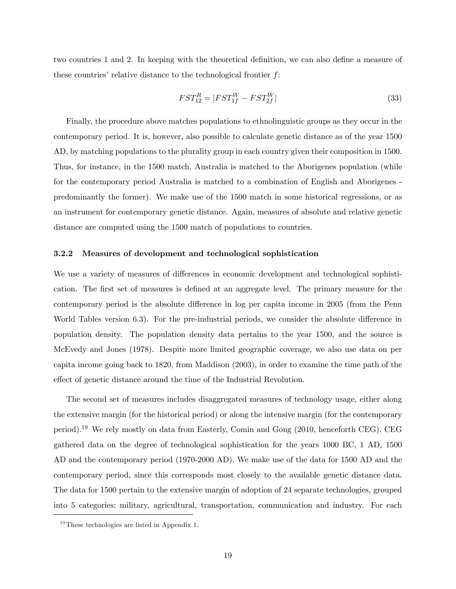two countries 1 and 2. In keeping with the theoretical definition, we can also define a measure of these countries' relative distance to the technological frontier  $f$ :

$$
FST_{12}^{R} = |FST_{1f}^{W} - FST_{2f}^{W}| \tag{33}
$$

Finally, the procedure above matches populations to ethnolinguistic groups as they occur in the contemporary period. It is, however, also possible to calculate genetic distance as of the year 1500 AD, by matching populations to the plurality group in each country given their composition in 1500. Thus, for instance, in the 1500 match, Australia is matched to the Aborigenes population (while for the contemporary period Australia is matched to a combination of English and Aborigenes predominantly the former). We make use of the 1500 match in some historical regressions, or as an instrument for contemporary genetic distance. Again, measures of absolute and relative genetic distance are computed using the 1500 match of populations to countries.

#### 3.2.2 Measures of development and technological sophistication

We use a variety of measures of differences in economic development and technological sophistication. The first set of measures is defined at an aggregate level. The primary measure for the contemporary period is the absolute difference in log per capita income in 2005 (from the Penn World Tables version 6.3). For the pre-industrial periods, we consider the absolute difference in population density. The population density data pertains to the year 1500, and the source is McEvedy and Jones (1978). Despite more limited geographic coverage, we also use data on per capita income going back to 1820, from Maddison (2003), in order to examine the time path of the effect of genetic distance around the time of the Industrial Revolution.

The second set of measures includes disaggregated measures of technology usage, either along the extensive margin (for the historical period) or along the intensive margin (for the contemporary period).<sup>19</sup> We rely mostly on data from Easterly, Comin and Gong (2010, henceforth CEG). CEG gathered data on the degree of technological sophistication for the years 1000 BC, 1 AD, 1500 AD and the contemporary period (1970-2000 AD). We make use of the data for 1500 AD and the contemporary period, since this corresponds most closely to the available genetic distance data. The data for 1500 pertain to the extensive margin of adoption of 24 separate technologies, grouped into 5 categories: military, agricultural, transportation, communication and industry. For each

<sup>&</sup>lt;sup>19</sup>These technologies are listed in Appendix 1.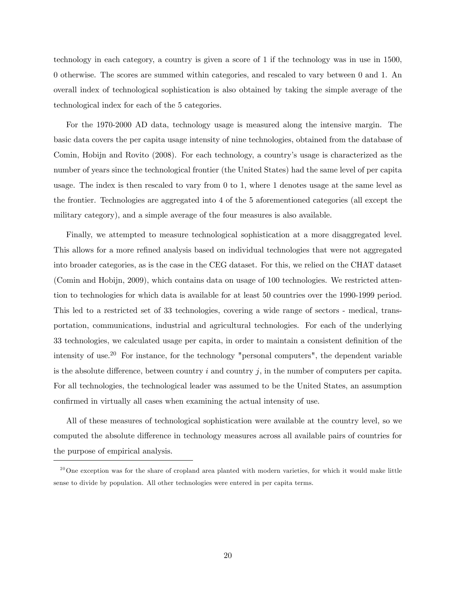technology in each category, a country is given a score of 1 if the technology was in use in 1500, 0 otherwise. The scores are summed within categories, and rescaled to vary between 0 and 1. An overall index of technological sophistication is also obtained by taking the simple average of the technological index for each of the 5 categories.

For the 1970-2000 AD data, technology usage is measured along the intensive margin. The basic data covers the per capita usage intensity of nine technologies, obtained from the database of Comin, Hobijn and Rovito (2008). For each technology, a country's usage is characterized as the number of years since the technological frontier (the United States) had the same level of per capita usage. The index is then rescaled to vary from 0 to 1, where 1 denotes usage at the same level as the frontier. Technologies are aggregated into 4 of the 5 aforementioned categories (all except the military category), and a simple average of the four measures is also available.

Finally, we attempted to measure technological sophistication at a more disaggregated level. This allows for a more refined analysis based on individual technologies that were not aggregated into broader categories, as is the case in the CEG dataset. For this, we relied on the CHAT dataset (Comin and Hobijn, 2009), which contains data on usage of 100 technologies. We restricted attention to technologies for which data is available for at least 50 countries over the 1990-1999 period. This led to a restricted set of 33 technologies, covering a wide range of sectors - medical, transportation, communications, industrial and agricultural technologies. For each of the underlying 33 technologies, we calculated usage per capita, in order to maintain a consistent definition of the intensity of use.<sup>20</sup> For instance, for the technology "personal computers", the dependent variable is the absolute difference, between country  $i$  and country  $j$ , in the number of computers per capita. For all technologies, the technological leader was assumed to be the United States, an assumption confirmed in virtually all cases when examining the actual intensity of use.

All of these measures of technological sophistication were available at the country level, so we computed the absolute difference in technology measures across all available pairs of countries for the purpose of empirical analysis.

 $^{20}$ One exception was for the share of cropland area planted with modern varieties, for which it would make little sense to divide by population. All other technologies were entered in per capita terms.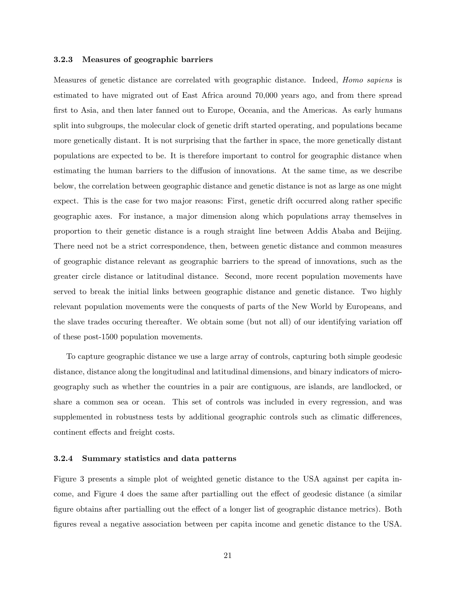#### 3.2.3 Measures of geographic barriers

Measures of genetic distance are correlated with geographic distance. Indeed, Homo sapiens is estimated to have migrated out of East Africa around 70,000 years ago, and from there spread first to Asia, and then later fanned out to Europe, Oceania, and the Americas. As early humans split into subgroups, the molecular clock of genetic drift started operating, and populations became more genetically distant. It is not surprising that the farther in space, the more genetically distant populations are expected to be. It is therefore important to control for geographic distance when estimating the human barriers to the diffusion of innovations. At the same time, as we describe below, the correlation between geographic distance and genetic distance is not as large as one might expect. This is the case for two major reasons: First, genetic drift occurred along rather specific geographic axes. For instance, a major dimension along which populations array themselves in proportion to their genetic distance is a rough straight line between Addis Ababa and Beijing. There need not be a strict correspondence, then, between genetic distance and common measures of geographic distance relevant as geographic barriers to the spread of innovations, such as the greater circle distance or latitudinal distance. Second, more recent population movements have served to break the initial links between geographic distance and genetic distance. Two highly relevant population movements were the conquests of parts of the New World by Europeans, and the slave trades occuring thereafter. We obtain some (but not all) of our identifying variation of of these post-1500 population movements.

To capture geographic distance we use a large array of controls, capturing both simple geodesic distance, distance along the longitudinal and latitudinal dimensions, and binary indicators of microgeography such as whether the countries in a pair are contiguous, are islands, are landlocked, or share a common sea or ocean. This set of controls was included in every regression, and was supplemented in robustness tests by additional geographic controls such as climatic differences, continent effects and freight costs.

#### 3.2.4 Summary statistics and data patterns

Figure 3 presents a simple plot of weighted genetic distance to the USA against per capita income, and Figure 4 does the same after partialling out the effect of geodesic distance (a similar figure obtains after partialling out the effect of a longer list of geographic distance metrics). Both Ögures reveal a negative association between per capita income and genetic distance to the USA.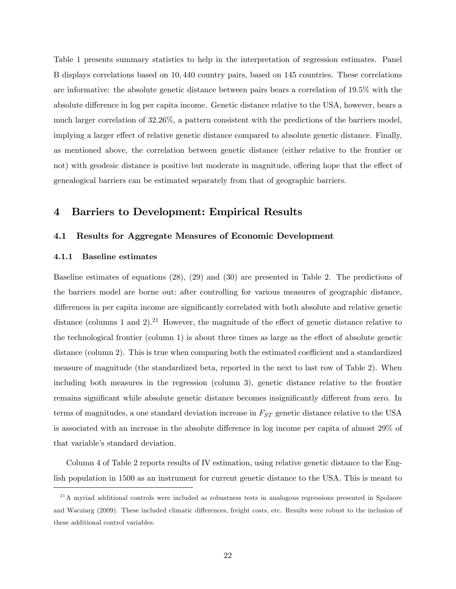Table 1 presents summary statistics to help in the interpretation of regression estimates. Panel B displays correlations based on 10; 440 country pairs, based on 145 countries. These correlations are informative: the absolute genetic distance between pairs bears a correlation of 19:5% with the absolute difference in log per capita income. Genetic distance relative to the USA, however, bears a much larger correlation of 32:26%, a pattern consistent with the predictions of the barriers model, implying a larger effect of relative genetic distance compared to absolute genetic distance. Finally, as mentioned above, the correlation between genetic distance (either relative to the frontier or not) with geodesic distance is positive but moderate in magnitude, offering hope that the effect of genealogical barriers can be estimated separately from that of geographic barriers.

## 4 Barriers to Development: Empirical Results

#### 4.1 Results for Aggregate Measures of Economic Development

#### 4.1.1 Baseline estimates

Baseline estimates of equations (28), (29) and (30) are presented in Table 2. The predictions of the barriers model are borne out: after controlling for various measures of geographic distance, differences in per capita income are significantly correlated with both absolute and relative genetic distance (columns 1 and 2).<sup>21</sup> However, the magnitude of the effect of genetic distance relative to the technological frontier (column 1) is about three times as large as the effect of absolute genetic distance (column 2). This is true when comparing both the estimated coefficient and a standardized measure of magnitude (the standardized beta, reported in the next to last row of Table 2). When including both measures in the regression (column 3), genetic distance relative to the frontier remains significant while absolute genetic distance becomes insignificantly different from zero. In terms of magnitudes, a one standard deviation increase in  $F_{ST}$  genetic distance relative to the USA is associated with an increase in the absolute difference in log income per capita of almost 29% of that variable's standard deviation.

Column 4 of Table 2 reports results of IV estimation, using relative genetic distance to the English population in 1500 as an instrument for current genetic distance to the USA. This is meant to

 $21A$  myriad additional controls were included as robustness tests in analogous regressions presented in Spolaore and Wacziarg (2009). These included climatic differences, freight costs, etc. Results were robust to the inclusion of these additional control variables.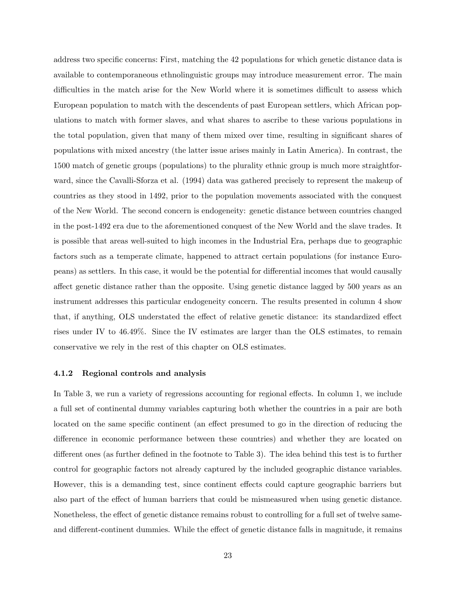address two specific concerns: First, matching the 42 populations for which genetic distance data is available to contemporaneous ethnolinguistic groups may introduce measurement error. The main difficulties in the match arise for the New World where it is sometimes difficult to assess which European population to match with the descendents of past European settlers, which African populations to match with former slaves, and what shares to ascribe to these various populations in the total population, given that many of them mixed over time, resulting in significant shares of populations with mixed ancestry (the latter issue arises mainly in Latin America). In contrast, the 1500 match of genetic groups (populations) to the plurality ethnic group is much more straightforward, since the Cavalli-Sforza et al. (1994) data was gathered precisely to represent the makeup of countries as they stood in 1492, prior to the population movements associated with the conquest of the New World. The second concern is endogeneity: genetic distance between countries changed in the post-1492 era due to the aforementioned conquest of the New World and the slave trades. It is possible that areas well-suited to high incomes in the Industrial Era, perhaps due to geographic factors such as a temperate climate, happened to attract certain populations (for instance Europeans) as settlers. In this case, it would be the potential for differential incomes that would causally affect genetic distance rather than the opposite. Using genetic distance lagged by 500 years as an instrument addresses this particular endogeneity concern. The results presented in column 4 show that, if anything, OLS understated the effect of relative genetic distance: its standardized effect rises under IV to 46:49%. Since the IV estimates are larger than the OLS estimates, to remain conservative we rely in the rest of this chapter on OLS estimates.

#### 4.1.2 Regional controls and analysis

In Table 3, we run a variety of regressions accounting for regional effects. In column 1, we include a full set of continental dummy variables capturing both whether the countries in a pair are both located on the same specific continent (an effect presumed to go in the direction of reducing the difference in economic performance between these countries) and whether they are located on different ones (as further defined in the footnote to Table 3). The idea behind this test is to further control for geographic factors not already captured by the included geographic distance variables. However, this is a demanding test, since continent effects could capture geographic barriers but also part of the effect of human barriers that could be mismeasured when using genetic distance. Nonetheless, the effect of genetic distance remains robust to controlling for a full set of twelve sameand different-continent dummies. While the effect of genetic distance falls in magnitude, it remains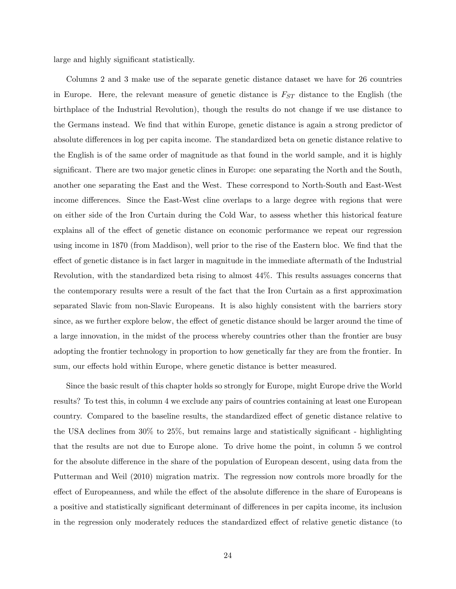large and highly significant statistically.

Columns 2 and 3 make use of the separate genetic distance dataset we have for 26 countries in Europe. Here, the relevant measure of genetic distance is  $F_{ST}$  distance to the English (the birthplace of the Industrial Revolution), though the results do not change if we use distance to the Germans instead. We find that within Europe, genetic distance is again a strong predictor of absolute differences in log per capita income. The standardized beta on genetic distance relative to the English is of the same order of magnitude as that found in the world sample, and it is highly significant. There are two major genetic clines in Europe: one separating the North and the South, another one separating the East and the West. These correspond to North-South and East-West income differences. Since the East-West cline overlaps to a large degree with regions that were on either side of the Iron Curtain during the Cold War, to assess whether this historical feature explains all of the effect of genetic distance on economic performance we repeat our regression using income in 1870 (from Maddison), well prior to the rise of the Eastern bloc. We find that the effect of genetic distance is in fact larger in magnitude in the immediate aftermath of the Industrial Revolution, with the standardized beta rising to almost 44%. This results assuages concerns that the contemporary results were a result of the fact that the Iron Curtain as a first approximation separated Slavic from non-Slavic Europeans. It is also highly consistent with the barriers story since, as we further explore below, the effect of genetic distance should be larger around the time of a large innovation, in the midst of the process whereby countries other than the frontier are busy adopting the frontier technology in proportion to how genetically far they are from the frontier. In sum, our effects hold within Europe, where genetic distance is better measured.

Since the basic result of this chapter holds so strongly for Europe, might Europe drive the World results? To test this, in column 4 we exclude any pairs of countries containing at least one European country. Compared to the baseline results, the standardized effect of genetic distance relative to the USA declines from  $30\%$  to  $25\%$ , but remains large and statistically significant - highlighting that the results are not due to Europe alone. To drive home the point, in column 5 we control for the absolute difference in the share of the population of European descent, using data from the Putterman and Weil (2010) migration matrix. The regression now controls more broadly for the effect of Europeanness, and while the effect of the absolute difference in the share of Europeans is a positive and statistically significant determinant of differences in per capita income, its inclusion in the regression only moderately reduces the standardized effect of relative genetic distance (to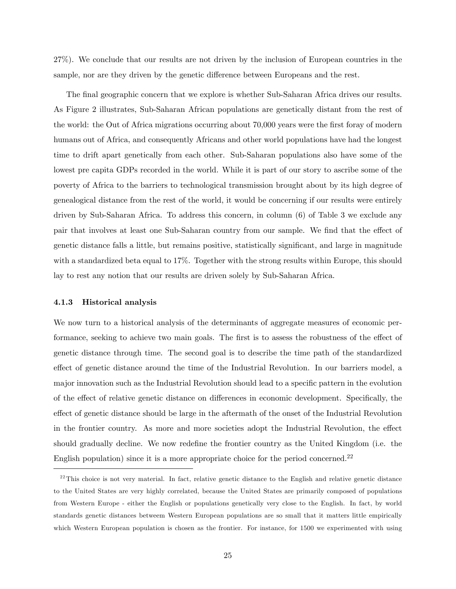27%). We conclude that our results are not driven by the inclusion of European countries in the sample, nor are they driven by the genetic difference between Europeans and the rest.

The final geographic concern that we explore is whether Sub-Saharan Africa drives our results. As Figure 2 illustrates, Sub-Saharan African populations are genetically distant from the rest of the world: the Out of Africa migrations occurring about 70,000 years were the first foray of modern humans out of Africa, and consequently Africans and other world populations have had the longest time to drift apart genetically from each other. Sub-Saharan populations also have some of the lowest pre capita GDPs recorded in the world. While it is part of our story to ascribe some of the poverty of Africa to the barriers to technological transmission brought about by its high degree of genealogical distance from the rest of the world, it would be concerning if our results were entirely driven by Sub-Saharan Africa. To address this concern, in column (6) of Table 3 we exclude any pair that involves at least one Sub-Saharan country from our sample. We find that the effect of genetic distance falls a little, but remains positive, statistically significant, and large in magnitude with a standardized beta equal to 17%. Together with the strong results within Europe, this should lay to rest any notion that our results are driven solely by Sub-Saharan Africa.

#### 4.1.3 Historical analysis

We now turn to a historical analysis of the determinants of aggregate measures of economic performance, seeking to achieve two main goals. The first is to assess the robustness of the effect of genetic distance through time. The second goal is to describe the time path of the standardized effect of genetic distance around the time of the Industrial Revolution. In our barriers model, a major innovation such as the Industrial Revolution should lead to a specific pattern in the evolution of the effect of relative genetic distance on differences in economic development. Specifically, the effect of genetic distance should be large in the aftermath of the onset of the Industrial Revolution in the frontier country. As more and more societies adopt the Industrial Revolution, the effect should gradually decline. We now redefine the frontier country as the United Kingdom (i.e. the English population) since it is a more appropriate choice for the period concerned.<sup>22</sup>

 $22$ This choice is not very material. In fact, relative genetic distance to the English and relative genetic distance to the United States are very highly correlated, because the United States are primarily composed of populations from Western Europe - either the English or populations genetically very close to the English. In fact, by world standards genetic distances betweem Western European populations are so small that it matters little empirically which Western European population is chosen as the frontier. For instance, for 1500 we experimented with using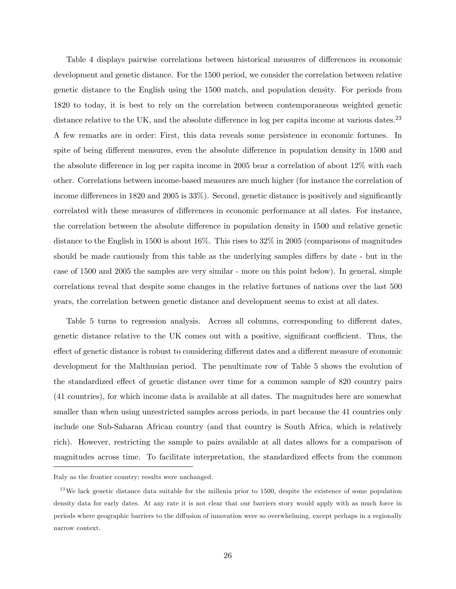Table 4 displays pairwise correlations between historical measures of differences in economic development and genetic distance. For the 1500 period, we consider the correlation between relative genetic distance to the English using the 1500 match, and population density. For periods from 1820 to today, it is best to rely on the correlation between contemporaneous weighted genetic distance relative to the UK, and the absolute difference in log per capita income at various dates.<sup>23</sup> A few remarks are in order: First, this data reveals some persistence in economic fortunes. In spite of being different measures, even the absolute difference in population density in 1500 and the absolute difference in log per capita income in 2005 bear a correlation of about  $12\%$  with each other. Correlations between income-based measures are much higher (for instance the correlation of income differences in 1820 and 2005 is  $33\%$ ). Second, genetic distance is positively and significantly correlated with these measures of differences in economic performance at all dates. For instance, the correlation between the absolute difference in population density in 1500 and relative genetic distance to the English in 1500 is about 16%. This rises to 32% in 2005 (comparisons of magnitudes should be made cautiously from this table as the underlying samples differs by date - but in the case of 1500 and 2005 the samples are very similar - more on this point below). In general, simple correlations reveal that despite some changes in the relative fortunes of nations over the last 500 years, the correlation between genetic distance and development seems to exist at all dates.

Table 5 turns to regression analysis. Across all columns, corresponding to different dates, genetic distance relative to the UK comes out with a positive, significant coefficient. Thus, the effect of genetic distance is robust to considering different dates and a different measure of economic development for the Malthusian period. The penultimate row of Table 5 shows the evolution of the standardized effect of genetic distance over time for a common sample of 820 country pairs (41 countries), for which income data is available at all dates. The magnitudes here are somewhat smaller than when using unrestricted samples across periods, in part because the 41 countries only include one Sub-Saharan African country (and that country is South Africa, which is relatively rich). However, restricting the sample to pairs available at all dates allows for a comparison of magnitudes across time. To facilitate interpretation, the standardized effects from the common

Italy as the frontier country; results were unchanged.

 $^{23}$ We lack genetic distance data suitable for the millenia prior to 1500, despite the existence of some population density data for early dates. At any rate it is not clear that our barriers story would apply with as much force in periods where geographic barriers to the diffusion of innovation were so overwhelming, except perhaps in a regionally narrow context.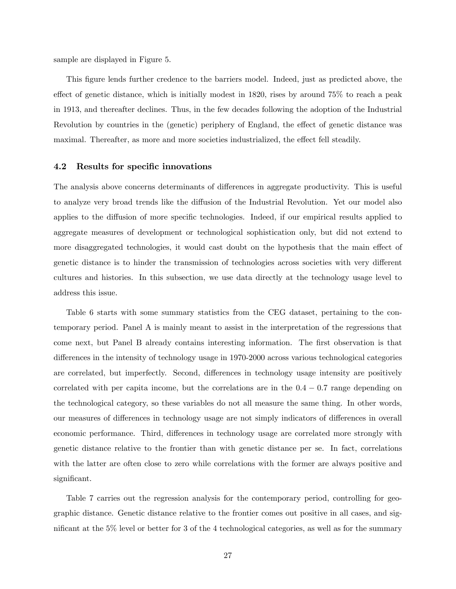sample are displayed in Figure 5.

This figure lends further credence to the barriers model. Indeed, just as predicted above, the effect of genetic distance, which is initially modest in 1820, rises by around  $75\%$  to reach a peak in 1913, and thereafter declines. Thus, in the few decades following the adoption of the Industrial Revolution by countries in the (genetic) periphery of England, the effect of genetic distance was maximal. Thereafter, as more and more societies industrialized, the effect fell steadily.

#### 4.2 Results for specific innovations

The analysis above concerns determinants of differences in aggregate productivity. This is useful to analyze very broad trends like the diffusion of the Industrial Revolution. Yet our model also applies to the diffusion of more specific technologies. Indeed, if our empirical results applied to aggregate measures of development or technological sophistication only, but did not extend to more disaggregated technologies, it would cast doubt on the hypothesis that the main effect of genetic distance is to hinder the transmission of technologies across societies with very different cultures and histories. In this subsection, we use data directly at the technology usage level to address this issue.

Table 6 starts with some summary statistics from the CEG dataset, pertaining to the contemporary period. Panel A is mainly meant to assist in the interpretation of the regressions that come next, but Panel B already contains interesting information. The first observation is that differences in the intensity of technology usage in 1970-2000 across various technological categories are correlated, but imperfectly. Second, differences in technology usage intensity are positively correlated with per capita income, but the correlations are in the  $0.4 - 0.7$  range depending on the technological category, so these variables do not all measure the same thing. In other words, our measures of differences in technology usage are not simply indicators of differences in overall economic performance. Third, differences in technology usage are correlated more strongly with genetic distance relative to the frontier than with genetic distance per se. In fact, correlations with the latter are often close to zero while correlations with the former are always positive and significant.

Table 7 carries out the regression analysis for the contemporary period, controlling for geographic distance. Genetic distance relative to the frontier comes out positive in all cases, and significant at the  $5\%$  level or better for 3 of the 4 technological categories, as well as for the summary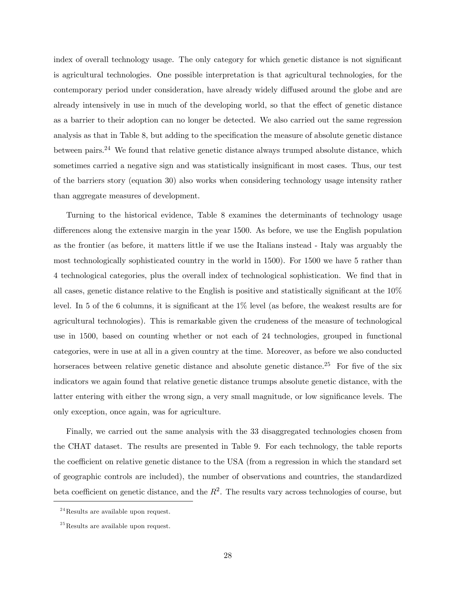index of overall technology usage. The only category for which genetic distance is not significant is agricultural technologies. One possible interpretation is that agricultural technologies, for the contemporary period under consideration, have already widely diffused around the globe and are already intensively in use in much of the developing world, so that the effect of genetic distance as a barrier to their adoption can no longer be detected. We also carried out the same regression analysis as that in Table 8, but adding to the specification the measure of absolute genetic distance between pairs.<sup>24</sup> We found that relative genetic distance always trumped absolute distance, which sometimes carried a negative sign and was statistically insignificant in most cases. Thus, our test of the barriers story (equation 30) also works when considering technology usage intensity rather than aggregate measures of development.

Turning to the historical evidence, Table 8 examines the determinants of technology usage differences along the extensive margin in the year 1500. As before, we use the English population as the frontier (as before, it matters little if we use the Italians instead - Italy was arguably the most technologically sophisticated country in the world in 1500). For 1500 we have 5 rather than 4 technological categories, plus the overall index of technological sophistication. We find that in all cases, genetic distance relative to the English is positive and statistically significant at the  $10\%$ level. In 5 of the 6 columns, it is significant at the  $1\%$  level (as before, the weakest results are for agricultural technologies). This is remarkable given the crudeness of the measure of technological use in 1500, based on counting whether or not each of 24 technologies, grouped in functional categories, were in use at all in a given country at the time. Moreover, as before we also conducted horseraces between relative genetic distance and absolute genetic distance.<sup>25</sup> For five of the six indicators we again found that relative genetic distance trumps absolute genetic distance, with the latter entering with either the wrong sign, a very small magnitude, or low significance levels. The only exception, once again, was for agriculture.

Finally, we carried out the same analysis with the 33 disaggregated technologies chosen from the CHAT dataset. The results are presented in Table 9. For each technology, the table reports the coefficient on relative genetic distance to the USA (from a regression in which the standard set of geographic controls are included), the number of observations and countries, the standardized beta coefficient on genetic distance, and the  $R^2$ . The results vary across technologies of course, but

 $^{24}$ Results are available upon request.

<sup>&</sup>lt;sup>25</sup>Results are available upon request.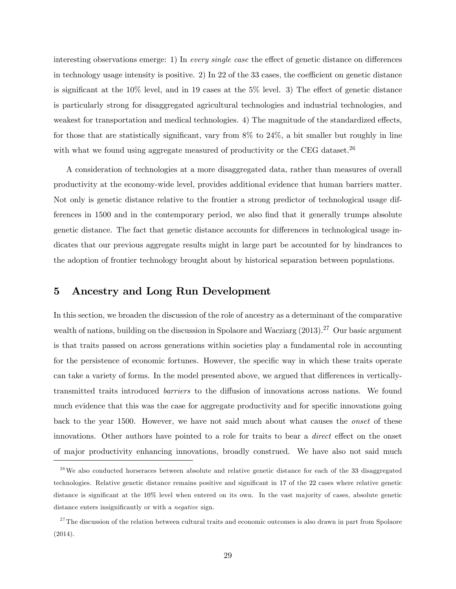interesting observations emerge: 1) In *every single case* the effect of genetic distance on differences in technology usage intensity is positive.  $2)$  In  $22$  of the 33 cases, the coefficient on genetic distance is significant at the  $10\%$  level, and in 19 cases at the  $5\%$  level. 3) The effect of genetic distance is particularly strong for disaggregated agricultural technologies and industrial technologies, and weakest for transportation and medical technologies.  $4$ ) The magnitude of the standardized effects, for those that are statistically significant, vary from  $8\%$  to  $24\%$ , a bit smaller but roughly in line with what we found using aggregate measured of productivity or the CEG dataset.<sup>26</sup>

A consideration of technologies at a more disaggregated data, rather than measures of overall productivity at the economy-wide level, provides additional evidence that human barriers matter. Not only is genetic distance relative to the frontier a strong predictor of technological usage differences in 1500 and in the contemporary period, we also find that it generally trumps absolute genetic distance. The fact that genetic distance accounts for differences in technological usage indicates that our previous aggregate results might in large part be accounted for by hindrances to the adoption of frontier technology brought about by historical separation between populations.

## 5 Ancestry and Long Run Development

In this section, we broaden the discussion of the role of ancestry as a determinant of the comparative wealth of nations, building on the discussion in Spolaore and Wacziarg (2013).<sup>27</sup> Our basic argument is that traits passed on across generations within societies play a fundamental role in accounting for the persistence of economic fortunes. However, the specific way in which these traits operate can take a variety of forms. In the model presented above, we argued that differences in verticallytransmitted traits introduced *barriers* to the diffusion of innovations across nations. We found much evidence that this was the case for aggregate productivity and for specific innovations going back to the year 1500. However, we have not said much about what causes the onset of these innovations. Other authors have pointed to a role for traits to bear a *direct* effect on the onset of major productivity enhancing innovations, broadly construed. We have also not said much

 $26$ We also conducted horseraces between absolute and relative genetic distance for each of the 33 disaggregated technologies. Relative genetic distance remains positive and significant in 17 of the 22 cases where relative genetic distance is significant at the 10% level when entered on its own. In the vast majority of cases, absolute genetic distance enters insignificantly or with a *negative* sign.

 $27$ The discussion of the relation between cultural traits and economic outcomes is also drawn in part from Spolaore (2014).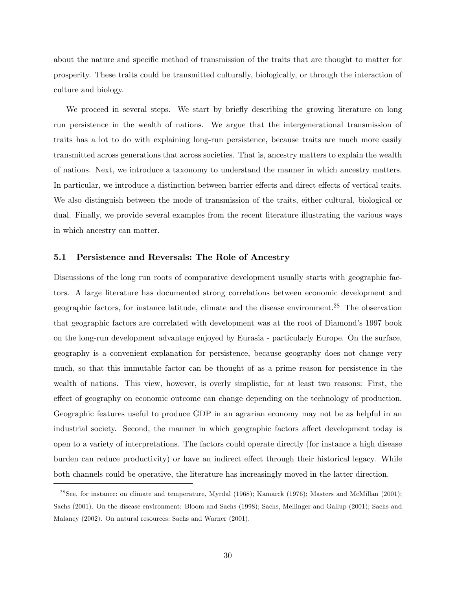about the nature and specific method of transmission of the traits that are thought to matter for prosperity. These traits could be transmitted culturally, biologically, or through the interaction of culture and biology.

We proceed in several steps. We start by briefly describing the growing literature on long run persistence in the wealth of nations. We argue that the intergenerational transmission of traits has a lot to do with explaining long-run persistence, because traits are much more easily transmitted across generations that across societies. That is, ancestry matters to explain the wealth of nations. Next, we introduce a taxonomy to understand the manner in which ancestry matters. In particular, we introduce a distinction between barrier effects and direct effects of vertical traits. We also distinguish between the mode of transmission of the traits, either cultural, biological or dual. Finally, we provide several examples from the recent literature illustrating the various ways in which ancestry can matter.

#### 5.1 Persistence and Reversals: The Role of Ancestry

Discussions of the long run roots of comparative development usually starts with geographic factors. A large literature has documented strong correlations between economic development and geographic factors, for instance latitude, climate and the disease environment.<sup>28</sup> The observation that geographic factors are correlated with development was at the root of Diamond's 1997 book on the long-run development advantage enjoyed by Eurasia - particularly Europe. On the surface, geography is a convenient explanation for persistence, because geography does not change very much, so that this immutable factor can be thought of as a prime reason for persistence in the wealth of nations. This view, however, is overly simplistic, for at least two reasons: First, the effect of geography on economic outcome can change depending on the technology of production. Geographic features useful to produce GDP in an agrarian economy may not be as helpful in an industrial society. Second, the manner in which geographic factors affect development today is open to a variety of interpretations. The factors could operate directly (for instance a high disease burden can reduce productivity) or have an indirect effect through their historical legacy. While both channels could be operative, the literature has increasingly moved in the latter direction.

 $^{28}$ See, for instance: on climate and temperature, Myrdal (1968); Kamarck (1976); Masters and McMillan (2001); Sachs (2001). On the disease environment: Bloom and Sachs (1998); Sachs, Mellinger and Gallup (2001); Sachs and Malaney (2002). On natural resources: Sachs and Warner (2001).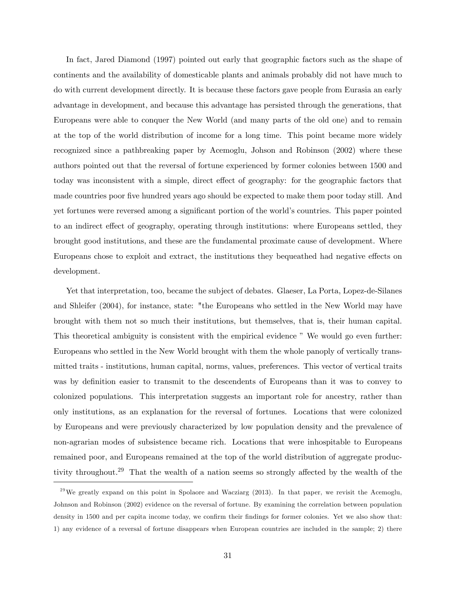In fact, Jared Diamond (1997) pointed out early that geographic factors such as the shape of continents and the availability of domesticable plants and animals probably did not have much to do with current development directly. It is because these factors gave people from Eurasia an early advantage in development, and because this advantage has persisted through the generations, that Europeans were able to conquer the New World (and many parts of the old one) and to remain at the top of the world distribution of income for a long time. This point became more widely recognized since a pathbreaking paper by Acemoglu, Johson and Robinson (2002) where these authors pointed out that the reversal of fortune experienced by former colonies between 1500 and today was inconsistent with a simple, direct effect of geography: for the geographic factors that made countries poor five hundred years ago should be expected to make them poor today still. And yet fortunes were reversed among a significant portion of the world's countries. This paper pointed to an indirect effect of geography, operating through institutions: where Europeans settled, they brought good institutions, and these are the fundamental proximate cause of development. Where Europeans chose to exploit and extract, the institutions they bequeathed had negative effects on development.

Yet that interpretation, too, became the subject of debates. Glaeser, La Porta, Lopez-de-Silanes and Shleifer (2004), for instance, state: "the Europeans who settled in the New World may have brought with them not so much their institutions, but themselves, that is, their human capital. This theoretical ambiguity is consistent with the empirical evidence "We would go even further: Europeans who settled in the New World brought with them the whole panoply of vertically transmitted traits - institutions, human capital, norms, values, preferences. This vector of vertical traits was by definition easier to transmit to the descendents of Europeans than it was to convey to colonized populations. This interpretation suggests an important role for ancestry, rather than only institutions, as an explanation for the reversal of fortunes. Locations that were colonized by Europeans and were previously characterized by low population density and the prevalence of non-agrarian modes of subsistence became rich. Locations that were inhospitable to Europeans remained poor, and Europeans remained at the top of the world distribution of aggregate productivity throughout.<sup>29</sup> That the wealth of a nation seems so strongly affected by the wealth of the

 $^{29}$ We greatly expand on this point in Spolaore and Wacziarg (2013). In that paper, we revisit the Acemoglu, Johnson and Robinson (2002) evidence on the reversal of fortune. By examining the correlation between population density in 1500 and per capita income today, we confirm their findings for former colonies. Yet we also show that: 1) any evidence of a reversal of fortune disappears when European countries are included in the sample; 2) there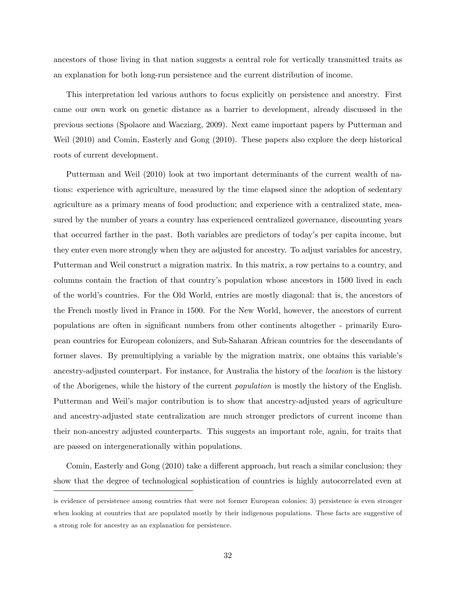ancestors of those living in that nation suggests a central role for vertically transmitted traits as an explanation for both long-run persistence and the current distribution of income.

This interpretation led various authors to focus explicitly on persistence and ancestry. First came our own work on genetic distance as a barrier to development, already discussed in the previous sections (Spolaore and Wacziarg, 2009). Next came important papers by Putterman and Weil (2010) and Comin, Easterly and Gong (2010). These papers also explore the deep historical roots of current development.

Putterman and Weil (2010) look at two important determinants of the current wealth of nations: experience with agriculture, measured by the time elapsed since the adoption of sedentary agriculture as a primary means of food production; and experience with a centralized state, measured by the number of years a country has experienced centralized governance, discounting years that occurred farther in the past. Both variables are predictors of todayís per capita income, but they enter even more strongly when they are adjusted for ancestry. To adjust variables for ancestry, Putterman and Weil construct a migration matrix. In this matrix, a row pertains to a country, and columns contain the fraction of that countryís population whose ancestors in 1500 lived in each of the worldís countries. For the Old World, entries are mostly diagonal: that is, the ancestors of the French mostly lived in France in 1500. For the New World, however, the ancestors of current populations are often in significant numbers from other continents altogether - primarily European countries for European colonizers, and Sub-Saharan African countries for the descendants of former slaves. By premultiplying a variable by the migration matrix, one obtains this variable's ancestry-adjusted counterpart. For instance, for Australia the history of the location is the history of the Aborigenes, while the history of the current population is mostly the history of the English. Putterman and Weil's major contribution is to show that ancestry-adjusted years of agriculture and ancestry-adjusted state centralization are much stronger predictors of current income than their non-ancestry adjusted counterparts. This suggests an important role, again, for traits that are passed on intergenerationally within populations.

Comin, Easterly and Gong (2010) take a different approach, but reach a similar conclusion: they show that the degree of technological sophistication of countries is highly autocorrelated even at

is evidence of persistence among countries that were not former European colonies; 3) persistence is even stronger when looking at countries that are populated mostly by their indigenous populations. These facts are suggestive of a strong role for ancestry as an explanation for persistence.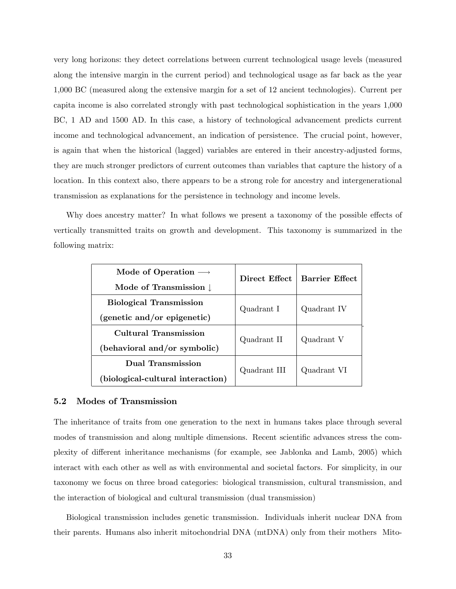very long horizons: they detect correlations between current technological usage levels (measured along the intensive margin in the current period) and technological usage as far back as the year 1,000 BC (measured along the extensive margin for a set of 12 ancient technologies). Current per capita income is also correlated strongly with past technological sophistication in the years 1,000 BC, 1 AD and 1500 AD. In this case, a history of technological advancement predicts current income and technological advancement, an indication of persistence. The crucial point, however, is again that when the historical (lagged) variables are entered in their ancestry-adjusted forms, they are much stronger predictors of current outcomes than variables that capture the history of a location. In this context also, there appears to be a strong role for ancestry and intergenerational transmission as explanations for the persistence in technology and income levels.

Why does ancestry matter? In what follows we present a taxonomy of the possible effects of vertically transmitted traits on growth and development. This taxonomy is summarized in the following matrix:

| Mode of Operation $\longrightarrow$<br>Mode of Transmission $\downarrow$ | Direct Effect | <b>Barrier Effect</b> |
|--------------------------------------------------------------------------|---------------|-----------------------|
| <b>Biological Transmission</b>                                           | Quadrant I    | Quadrant IV           |
| (genetic and/or epigenetic)<br>Cultural Transmission                     | Quadrant II   | Quadrant V            |
| (behavioral and/or symbolic)                                             |               |                       |
| Dual Transmission                                                        | Quadrant III  | Quadrant VI           |
| (biological-cultural interaction)                                        |               |                       |

#### 5.2 Modes of Transmission

The inheritance of traits from one generation to the next in humans takes place through several modes of transmission and along multiple dimensions. Recent scientific advances stress the complexity of different inheritance mechanisms (for example, see Jablonka and Lamb, 2005) which interact with each other as well as with environmental and societal factors. For simplicity, in our taxonomy we focus on three broad categories: biological transmission, cultural transmission, and the interaction of biological and cultural transmission (dual transmission)

Biological transmission includes genetic transmission. Individuals inherit nuclear DNA from their parents. Humans also inherit mitochondrial DNA (mtDNA) only from their mothers Mito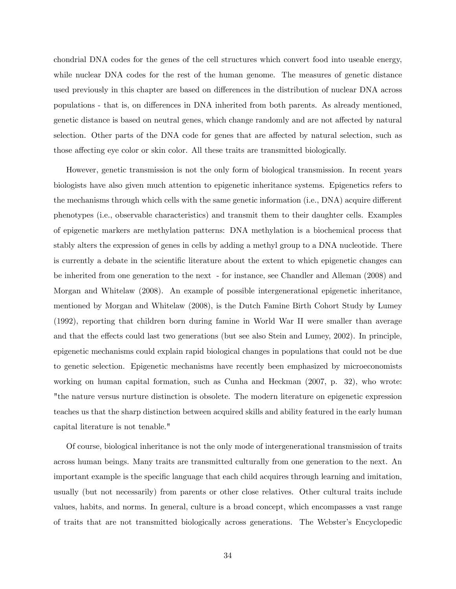chondrial DNA codes for the genes of the cell structures which convert food into useable energy, while nuclear DNA codes for the rest of the human genome. The measures of genetic distance used previously in this chapter are based on differences in the distribution of nuclear DNA across populations - that is, on differences in DNA inherited from both parents. As already mentioned, genetic distance is based on neutral genes, which change randomly and are not affected by natural selection. Other parts of the DNA code for genes that are affected by natural selection, such as those affecting eye color or skin color. All these traits are transmitted biologically.

However, genetic transmission is not the only form of biological transmission. In recent years biologists have also given much attention to epigenetic inheritance systems. Epigenetics refers to the mechanisms through which cells with the same genetic information (i.e., DNA) acquire different phenotypes (i.e., observable characteristics) and transmit them to their daughter cells. Examples of epigenetic markers are methylation patterns: DNA methylation is a biochemical process that stably alters the expression of genes in cells by adding a methyl group to a DNA nucleotide. There is currently a debate in the scientific literature about the extent to which epigenetic changes can be inherited from one generation to the next - for instance, see Chandler and Alleman (2008) and Morgan and Whitelaw (2008). An example of possible intergenerational epigenetic inheritance, mentioned by Morgan and Whitelaw (2008), is the Dutch Famine Birth Cohort Study by Lumey (1992), reporting that children born during famine in World War II were smaller than average and that the effects could last two generations (but see also Stein and Lumey, 2002). In principle, epigenetic mechanisms could explain rapid biological changes in populations that could not be due to genetic selection. Epigenetic mechanisms have recently been emphasized by microeconomists working on human capital formation, such as Cunha and Heckman (2007, p. 32), who wrote: "the nature versus nurture distinction is obsolete. The modern literature on epigenetic expression teaches us that the sharp distinction between acquired skills and ability featured in the early human capital literature is not tenable."

Of course, biological inheritance is not the only mode of intergenerational transmission of traits across human beings. Many traits are transmitted culturally from one generation to the next. An important example is the specific language that each child acquires through learning and imitation, usually (but not necessarily) from parents or other close relatives. Other cultural traits include values, habits, and norms. In general, culture is a broad concept, which encompasses a vast range of traits that are not transmitted biologically across generations. The Websterís Encyclopedic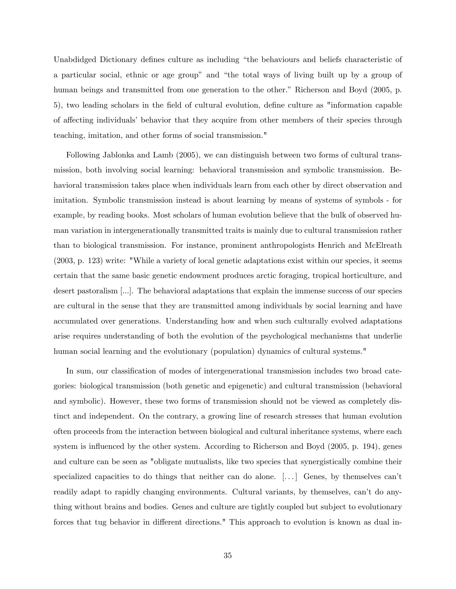Unabdidged Dictionary defines culture as including "the behaviours and beliefs characteristic of a particular social, ethnic or age group" and "the total ways of living built up by a group of human beings and transmitted from one generation to the other." Richerson and Boyd (2005, p. 5), two leading scholars in the field of cultural evolution, define culture as "information capable of affecting individuals' behavior that they acquire from other members of their species through teaching, imitation, and other forms of social transmission."

Following Jablonka and Lamb (2005), we can distinguish between two forms of cultural transmission, both involving social learning: behavioral transmission and symbolic transmission. Behavioral transmission takes place when individuals learn from each other by direct observation and imitation. Symbolic transmission instead is about learning by means of systems of symbols - for example, by reading books. Most scholars of human evolution believe that the bulk of observed human variation in intergenerationally transmitted traits is mainly due to cultural transmission rather than to biological transmission. For instance, prominent anthropologists Henrich and McElreath (2003, p. 123) write: "While a variety of local genetic adaptations exist within our species, it seems certain that the same basic genetic endowment produces arctic foraging, tropical horticulture, and desert pastoralism [...]. The behavioral adaptations that explain the immense success of our species are cultural in the sense that they are transmitted among individuals by social learning and have accumulated over generations. Understanding how and when such culturally evolved adaptations arise requires understanding of both the evolution of the psychological mechanisms that underlie human social learning and the evolutionary (population) dynamics of cultural systems."

In sum, our classification of modes of intergenerational transmission includes two broad categories: biological transmission (both genetic and epigenetic) and cultural transmission (behavioral and symbolic). However, these two forms of transmission should not be viewed as completely distinct and independent. On the contrary, a growing line of research stresses that human evolution often proceeds from the interaction between biological and cultural inheritance systems, where each system is influenced by the other system. According to Richerson and Boyd (2005, p. 194), genes and culture can be seen as "obligate mutualists, like two species that synergistically combine their specialized capacities to do things that neither can do alone.  $[\dots]$  Genes, by themselves can't readily adapt to rapidly changing environments. Cultural variants, by themselves, can't do anything without brains and bodies. Genes and culture are tightly coupled but subject to evolutionary forces that tug behavior in different directions." This approach to evolution is known as dual in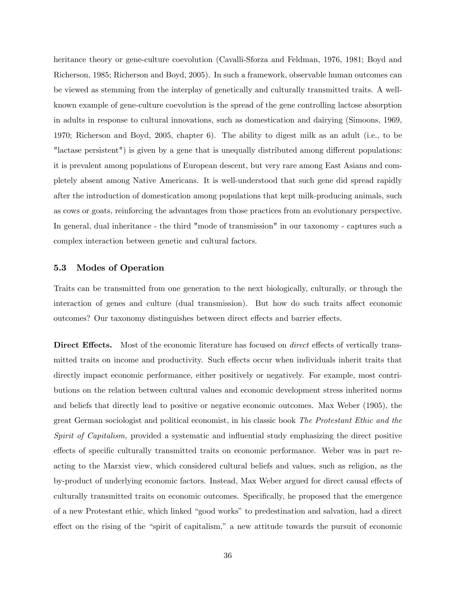heritance theory or gene-culture coevolution (Cavalli-Sforza and Feldman, 1976, 1981; Boyd and Richerson, 1985; Richerson and Boyd, 2005). In such a framework, observable human outcomes can be viewed as stemming from the interplay of genetically and culturally transmitted traits. A wellknown example of gene-culture coevolution is the spread of the gene controlling lactose absorption in adults in response to cultural innovations, such as domestication and dairying (Simoons, 1969, 1970; Richerson and Boyd, 2005, chapter 6). The ability to digest milk as an adult (i.e., to be "lactase persistent") is given by a gene that is unequally distributed among different populations: it is prevalent among populations of European descent, but very rare among East Asians and completely absent among Native Americans. It is well-understood that such gene did spread rapidly after the introduction of domestication among populations that kept milk-producing animals, such as cows or goats, reinforcing the advantages from those practices from an evolutionary perspective. In general, dual inheritance - the third "mode of transmission" in our taxonomy - captures such a complex interaction between genetic and cultural factors.

#### 5.3 Modes of Operation

Traits can be transmitted from one generation to the next biologically, culturally, or through the interaction of genes and culture (dual transmission). But how do such traits affect economic outcomes? Our taxonomy distinguishes between direct effects and barrier effects.

**Direct Effects.** Most of the economic literature has focused on *direct* effects of vertically transmitted traits on income and productivity. Such effects occur when individuals inherit traits that directly impact economic performance, either positively or negatively. For example, most contributions on the relation between cultural values and economic development stress inherited norms and beliefs that directly lead to positive or negative economic outcomes. Max Weber (1905), the great German sociologist and political economist, in his classic book The Protestant Ethic and the Spirit of Capitalism, provided a systematic and influential study emphasizing the direct positive effects of specific culturally transmitted traits on economic performance. Weber was in part reacting to the Marxist view, which considered cultural beliefs and values, such as religion, as the by-product of underlying economic factors. Instead, Max Weber argued for direct causal effects of culturally transmitted traits on economic outcomes. Specifically, he proposed that the emergence of a new Protestant ethic, which linked "good works" to predestination and salvation, had a direct effect on the rising of the "spirit of capitalism," a new attitude towards the pursuit of economic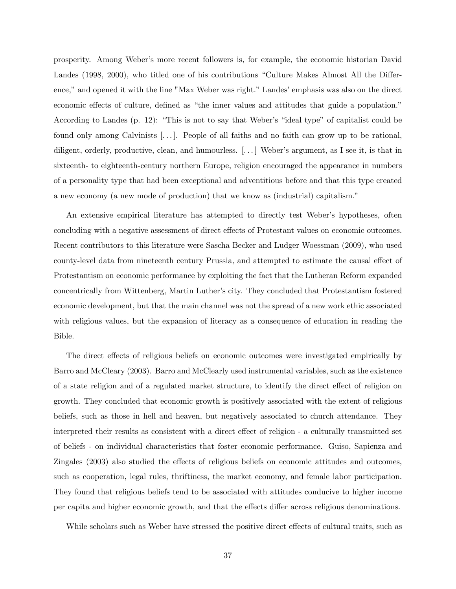prosperity. Among Weberís more recent followers is, for example, the economic historian David Landes (1998, 2000), who titled one of his contributions "Culture Makes Almost All the Difference," and opened it with the line "Max Weber was right." Landes' emphasis was also on the direct economic effects of culture, defined as "the inner values and attitudes that guide a population." According to Landes  $(p, 12)$ : "This is not to say that Weber's "ideal type" of capitalist could be found only among Calvinists [. . . ]. People of all faiths and no faith can grow up to be rational, diligent, orderly, productive, clean, and humourless. [...] Weber's argument, as I see it, is that in sixteenth- to eighteenth-century northern Europe, religion encouraged the appearance in numbers of a personality type that had been exceptional and adventitious before and that this type created a new economy (a new mode of production) that we know as (industrial) capitalism.<sup>"</sup>

An extensive empirical literature has attempted to directly test Weber's hypotheses, often concluding with a negative assessment of direct effects of Protestant values on economic outcomes. Recent contributors to this literature were Sascha Becker and Ludger Woessman (2009), who used county-level data from nineteenth century Prussia, and attempted to estimate the causal effect of Protestantism on economic performance by exploiting the fact that the Lutheran Reform expanded concentrically from Wittenberg, Martin Luther's city. They concluded that Protestantism fostered economic development, but that the main channel was not the spread of a new work ethic associated with religious values, but the expansion of literacy as a consequence of education in reading the Bible.

The direct effects of religious beliefs on economic outcomes were investigated empirically by Barro and McCleary (2003). Barro and McClearly used instrumental variables, such as the existence of a state religion and of a regulated market structure, to identify the direct effect of religion on growth. They concluded that economic growth is positively associated with the extent of religious beliefs, such as those in hell and heaven, but negatively associated to church attendance. They interpreted their results as consistent with a direct effect of religion - a culturally transmitted set of beliefs - on individual characteristics that foster economic performance. Guiso, Sapienza and Zingales (2003) also studied the effects of religious beliefs on economic attitudes and outcomes, such as cooperation, legal rules, thriftiness, the market economy, and female labor participation. They found that religious beliefs tend to be associated with attitudes conducive to higher income per capita and higher economic growth, and that the effects differ across religious denominations.

While scholars such as Weber have stressed the positive direct effects of cultural traits, such as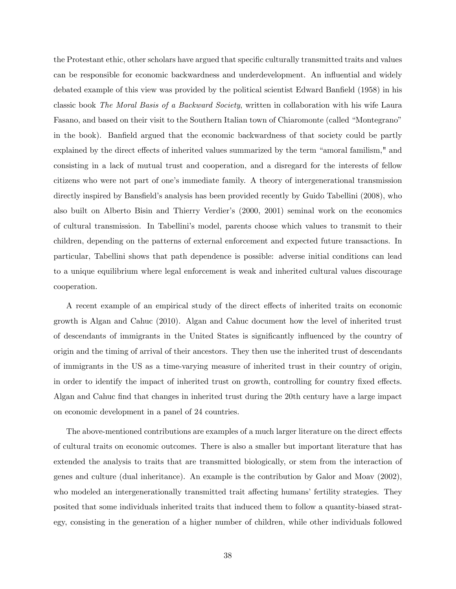the Protestant ethic, other scholars have argued that specific culturally transmitted traits and values can be responsible for economic backwardness and underdevelopment. An ináuential and widely debated example of this view was provided by the political scientist Edward Banfield (1958) in his classic book The Moral Basis of a Backward Society, written in collaboration with his wife Laura Fasano, and based on their visit to the Southern Italian town of Chiaromonte (called "Montegrano" in the book). Banfield argued that the economic backwardness of that society could be partly explained by the direct effects of inherited values summarized by the term "amoral familism," and consisting in a lack of mutual trust and cooperation, and a disregard for the interests of fellow citizens who were not part of one's immediate family. A theory of intergenerational transmission directly inspired by Bansfield's analysis has been provided recently by Guido Tabellini (2008), who also built on Alberto Bisin and Thierry Verdierís (2000, 2001) seminal work on the economics of cultural transmission. In Tabelliniís model, parents choose which values to transmit to their children, depending on the patterns of external enforcement and expected future transactions. In particular, Tabellini shows that path dependence is possible: adverse initial conditions can lead to a unique equilibrium where legal enforcement is weak and inherited cultural values discourage cooperation.

A recent example of an empirical study of the direct effects of inherited traits on economic growth is Algan and Cahuc (2010). Algan and Cahuc document how the level of inherited trust of descendants of immigrants in the United States is significantly influenced by the country of origin and the timing of arrival of their ancestors. They then use the inherited trust of descendants of immigrants in the US as a time-varying measure of inherited trust in their country of origin, in order to identify the impact of inherited trust on growth, controlling for country fixed effects. Algan and Cahuc find that changes in inherited trust during the 20th century have a large impact on economic development in a panel of 24 countries.

The above-mentioned contributions are examples of a much larger literature on the direct effects of cultural traits on economic outcomes. There is also a smaller but important literature that has extended the analysis to traits that are transmitted biologically, or stem from the interaction of genes and culture (dual inheritance). An example is the contribution by Galor and Moav (2002), who modeled an intergenerationally transmitted trait affecting humans' fertility strategies. They posited that some individuals inherited traits that induced them to follow a quantity-biased strategy, consisting in the generation of a higher number of children, while other individuals followed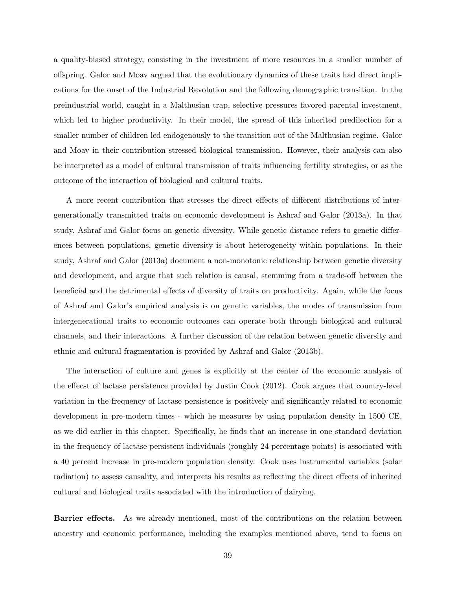a quality-biased strategy, consisting in the investment of more resources in a smaller number of o§spring. Galor and Moav argued that the evolutionary dynamics of these traits had direct implications for the onset of the Industrial Revolution and the following demographic transition. In the preindustrial world, caught in a Malthusian trap, selective pressures favored parental investment, which led to higher productivity. In their model, the spread of this inherited predilection for a smaller number of children led endogenously to the transition out of the Malthusian regime. Galor and Moav in their contribution stressed biological transmission. However, their analysis can also be interpreted as a model of cultural transmission of traits ináuencing fertility strategies, or as the outcome of the interaction of biological and cultural traits.

A more recent contribution that stresses the direct effects of different distributions of intergenerationally transmitted traits on economic development is Ashraf and Galor (2013a). In that study, Ashraf and Galor focus on genetic diversity. While genetic distance refers to genetic differences between populations, genetic diversity is about heterogeneity within populations. In their study, Ashraf and Galor (2013a) document a non-monotonic relationship between genetic diversity and development, and argue that such relation is causal, stemming from a trade-off between the beneficial and the detrimental effects of diversity of traits on productivity. Again, while the focus of Ashraf and Galor's empirical analysis is on genetic variables, the modes of transmission from intergenerational traits to economic outcomes can operate both through biological and cultural channels, and their interactions. A further discussion of the relation between genetic diversity and ethnic and cultural fragmentation is provided by Ashraf and Galor (2013b).

The interaction of culture and genes is explicitly at the center of the economic analysis of the effecst of lactase persistence provided by Justin Cook (2012). Cook argues that country-level variation in the frequency of lactase persistence is positively and significantly related to economic development in pre-modern times - which he measures by using population density in 1500 CE, as we did earlier in this chapter. Specifically, he finds that an increase in one standard deviation in the frequency of lactase persistent individuals (roughly 24 percentage points) is associated with a 40 percent increase in pre-modern population density. Cook uses instrumental variables (solar radiation) to assess causality, and interprets his results as reflecting the direct effects of inherited cultural and biological traits associated with the introduction of dairying.

Barrier effects. As we already mentioned, most of the contributions on the relation between ancestry and economic performance, including the examples mentioned above, tend to focus on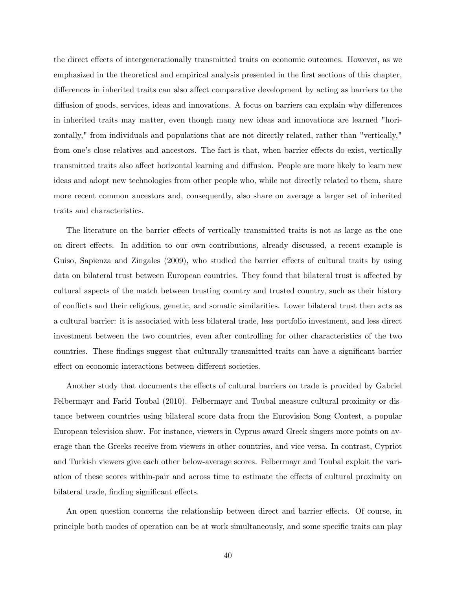the direct effects of intergenerationally transmitted traits on economic outcomes. However, as we emphasized in the theoretical and empirical analysis presented in the first sections of this chapter, differences in inherited traits can also affect comparative development by acting as barriers to the diffusion of goods, services, ideas and innovations. A focus on barriers can explain why differences in inherited traits may matter, even though many new ideas and innovations are learned "horizontally," from individuals and populations that are not directly related, rather than "vertically," from one's close relatives and ancestors. The fact is that, when barrier effects do exist, vertically transmitted traits also affect horizontal learning and diffusion. People are more likely to learn new ideas and adopt new technologies from other people who, while not directly related to them, share more recent common ancestors and, consequently, also share on average a larger set of inherited traits and characteristics.

The literature on the barrier effects of vertically transmitted traits is not as large as the one on direct effects. In addition to our own contributions, already discussed, a recent example is Guiso, Sapienza and Zingales (2009), who studied the barrier effects of cultural traits by using data on bilateral trust between European countries. They found that bilateral trust is affected by cultural aspects of the match between trusting country and trusted country, such as their history of conáicts and their religious, genetic, and somatic similarities. Lower bilateral trust then acts as a cultural barrier: it is associated with less bilateral trade, less portfolio investment, and less direct investment between the two countries, even after controlling for other characteristics of the two countries. These findings suggest that culturally transmitted traits can have a significant barrier effect on economic interactions between different societies.

Another study that documents the effects of cultural barriers on trade is provided by Gabriel Felbermayr and Farid Toubal (2010). Felbermayr and Toubal measure cultural proximity or distance between countries using bilateral score data from the Eurovision Song Contest, a popular European television show. For instance, viewers in Cyprus award Greek singers more points on average than the Greeks receive from viewers in other countries, and vice versa. In contrast, Cypriot and Turkish viewers give each other below-average scores. Felbermayr and Toubal exploit the variation of these scores within-pair and across time to estimate the effects of cultural proximity on bilateral trade, finding significant effects.

An open question concerns the relationship between direct and barrier effects. Of course, in principle both modes of operation can be at work simultaneously, and some specific traits can play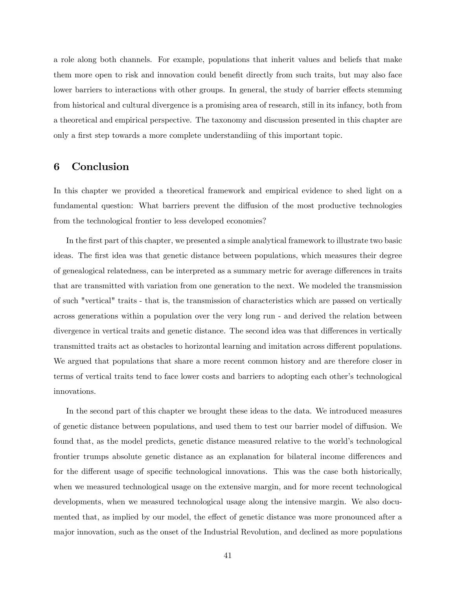a role along both channels. For example, populations that inherit values and beliefs that make them more open to risk and innovation could benefit directly from such traits, but may also face lower barriers to interactions with other groups. In general, the study of barrier effects stemming from historical and cultural divergence is a promising area of research, still in its infancy, both from a theoretical and empirical perspective. The taxonomy and discussion presented in this chapter are only a first step towards a more complete understandiing of this important topic.

## 6 Conclusion

In this chapter we provided a theoretical framework and empirical evidence to shed light on a fundamental question: What barriers prevent the diffusion of the most productive technologies from the technological frontier to less developed economies?

In the first part of this chapter, we presented a simple analytical framework to illustrate two basic ideas. The first idea was that genetic distance between populations, which measures their degree of genealogical relatedness, can be interpreted as a summary metric for average differences in traits that are transmitted with variation from one generation to the next. We modeled the transmission of such "vertical" traits - that is, the transmission of characteristics which are passed on vertically across generations within a population over the very long run - and derived the relation between divergence in vertical traits and genetic distance. The second idea was that differences in vertically transmitted traits act as obstacles to horizontal learning and imitation across different populations. We argued that populations that share a more recent common history and are therefore closer in terms of vertical traits tend to face lower costs and barriers to adopting each other's technological innovations.

In the second part of this chapter we brought these ideas to the data. We introduced measures of genetic distance between populations, and used them to test our barrier model of diffusion. We found that, as the model predicts, genetic distance measured relative to the world's technological frontier trumps absolute genetic distance as an explanation for bilateral income differences and for the different usage of specific technological innovations. This was the case both historically, when we measured technological usage on the extensive margin, and for more recent technological developments, when we measured technological usage along the intensive margin. We also documented that, as implied by our model, the effect of genetic distance was more pronounced after a major innovation, such as the onset of the Industrial Revolution, and declined as more populations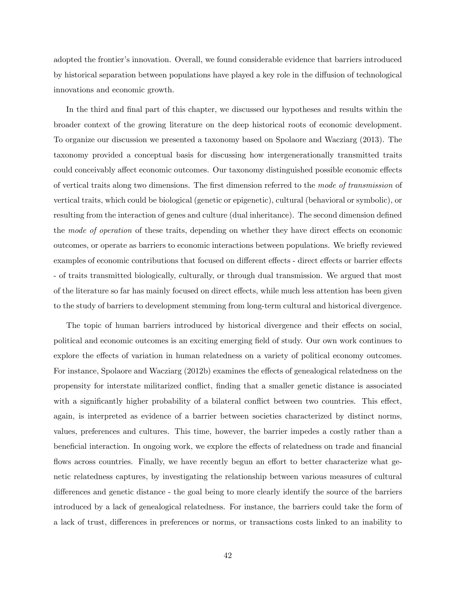adopted the frontier's innovation. Overall, we found considerable evidence that barriers introduced by historical separation between populations have played a key role in the diffusion of technological innovations and economic growth.

In the third and final part of this chapter, we discussed our hypotheses and results within the broader context of the growing literature on the deep historical roots of economic development. To organize our discussion we presented a taxonomy based on Spolaore and Wacziarg (2013). The taxonomy provided a conceptual basis for discussing how intergenerationally transmitted traits could conceivably affect economic outcomes. Our taxonomy distinguished possible economic effects of vertical traits along two dimensions. The first dimension referred to the mode of transmission of vertical traits, which could be biological (genetic or epigenetic), cultural (behavioral or symbolic), or resulting from the interaction of genes and culture (dual inheritance). The second dimension defined the mode of operation of these traits, depending on whether they have direct effects on economic outcomes, or operate as barriers to economic interactions between populations. We brieáy reviewed examples of economic contributions that focused on different effects - direct effects or barrier effects - of traits transmitted biologically, culturally, or through dual transmission. We argued that most of the literature so far has mainly focused on direct effects, while much less attention has been given to the study of barriers to development stemming from long-term cultural and historical divergence.

The topic of human barriers introduced by historical divergence and their effects on social, political and economic outcomes is an exciting emerging Öeld of study. Our own work continues to explore the effects of variation in human relatedness on a variety of political economy outcomes. For instance, Spolaore and Wacziarg (2012b) examines the effects of genealogical relatedness on the propensity for interstate militarized conáict, Önding that a smaller genetic distance is associated with a significantly higher probability of a bilateral conflict between two countries. This effect, again, is interpreted as evidence of a barrier between societies characterized by distinct norms, values, preferences and cultures. This time, however, the barrier impedes a costly rather than a beneficial interaction. In ongoing work, we explore the effects of relatedness on trade and financial flows across countries. Finally, we have recently begun an effort to better characterize what genetic relatedness captures, by investigating the relationship between various measures of cultural differences and genetic distance - the goal being to more clearly identify the source of the barriers introduced by a lack of genealogical relatedness. For instance, the barriers could take the form of a lack of trust, differences in preferences or norms, or transactions costs linked to an inability to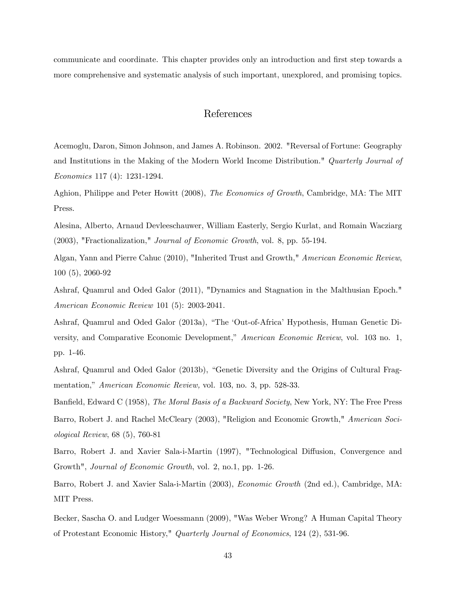communicate and coordinate. This chapter provides only an introduction and first step towards a more comprehensive and systematic analysis of such important, unexplored, and promising topics.

## References

Acemoglu, Daron, Simon Johnson, and James A. Robinson. 2002. "Reversal of Fortune: Geography and Institutions in the Making of the Modern World Income Distribution." Quarterly Journal of Economics 117 (4): 1231-1294.

Aghion, Philippe and Peter Howitt (2008), The Economics of Growth, Cambridge, MA: The MIT Press.

Alesina, Alberto, Arnaud Devleeschauwer, William Easterly, Sergio Kurlat, and Romain Wacziarg (2003), "Fractionalization," Journal of Economic Growth, vol. 8, pp. 55-194.

Algan, Yann and Pierre Cahuc (2010), "Inherited Trust and Growth," American Economic Review, 100 (5), 2060-92

Ashraf, Quamrul and Oded Galor (2011), "Dynamics and Stagnation in the Malthusian Epoch." American Economic Review 101 (5): 2003-2041.

Ashraf, Quamrul and Oded Galor (2013a), "The 'Out-of-Africa' Hypothesis, Human Genetic Diversity, and Comparative Economic Development," American Economic Review, vol. 103 no. 1, pp. 1-46.

Ashraf, Quamrul and Oded Galor (2013b), "Genetic Diversity and the Origins of Cultural Fragmentation," American Economic Review, vol. 103, no. 3, pp. 528-33.

Banfield, Edward C (1958), The Moral Basis of a Backward Society, New York, NY: The Free Press Barro, Robert J. and Rachel McCleary (2003), "Religion and Economic Growth," American Sociological Review, 68 (5), 760-81

Barro, Robert J. and Xavier Sala-i-Martin (1997), "Technological Diffusion, Convergence and Growth", Journal of Economic Growth, vol. 2, no.1, pp. 1-26.

Barro, Robert J. and Xavier Sala-i-Martin (2003), Economic Growth (2nd ed.), Cambridge, MA: MIT Press.

Becker, Sascha O. and Ludger Woessmann (2009), "Was Weber Wrong? A Human Capital Theory of Protestant Economic History," Quarterly Journal of Economics, 124 (2), 531-96.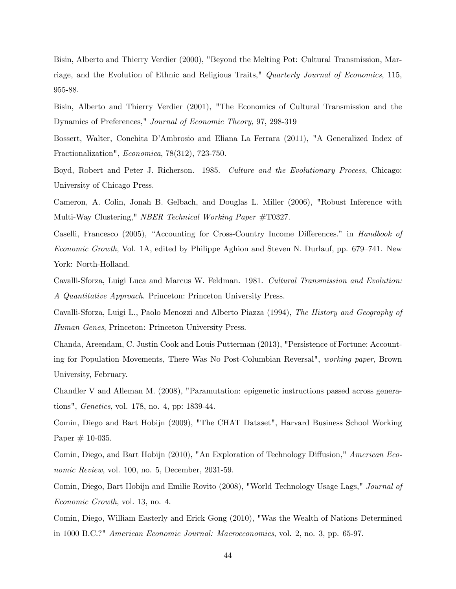Bisin, Alberto and Thierry Verdier (2000), "Beyond the Melting Pot: Cultural Transmission, Marriage, and the Evolution of Ethnic and Religious Traits," Quarterly Journal of Economics, 115, 955-88.

Bisin, Alberto and Thierry Verdier (2001), "The Economics of Cultural Transmission and the Dynamics of Preferences," Journal of Economic Theory, 97, 298-319

Bossert, Walter, Conchita DíAmbrosio and Eliana La Ferrara (2011), "A Generalized Index of Fractionalization", Economica, 78(312), 723-750.

Boyd, Robert and Peter J. Richerson. 1985. Culture and the Evolutionary Process, Chicago: University of Chicago Press.

Cameron, A. Colin, Jonah B. Gelbach, and Douglas L. Miller (2006), "Robust Inference with Multi-Way Clustering," NBER Technical Working Paper #T0327.

Caselli, Francesco (2005), "Accounting for Cross-Country Income Differences." in Handbook of Economic Growth, Vol. 1A, edited by Philippe Aghion and Steven N. Durlauf, pp. 679–741. New York: North-Holland.

Cavalli-Sforza, Luigi Luca and Marcus W. Feldman. 1981. Cultural Transmission and Evolution: A Quantitative Approach. Princeton: Princeton University Press.

Cavalli-Sforza, Luigi L., Paolo Menozzi and Alberto Piazza (1994), The History and Geography of Human Genes, Princeton: Princeton University Press.

Chanda, Areendam, C. Justin Cook and Louis Putterman (2013), "Persistence of Fortune: Accounting for Population Movements, There Was No Post-Columbian Reversal", working paper, Brown University, February.

Chandler V and Alleman M. (2008), "Paramutation: epigenetic instructions passed across generations", Genetics, vol. 178, no. 4, pp: 1839-44.

Comin, Diego and Bart Hobijn (2009), "The CHAT Dataset", Harvard Business School Working Paper  $\#$  10-035.

Comin, Diego, and Bart Hobijn (2010), "An Exploration of Technology Diffusion," American Economic Review, vol. 100, no. 5, December, 2031-59.

Comin, Diego, Bart Hobijn and Emilie Rovito (2008), "World Technology Usage Lags," Journal of Economic Growth, vol. 13, no. 4.

Comin, Diego, William Easterly and Erick Gong (2010), "Was the Wealth of Nations Determined in 1000 B.C.?" American Economic Journal: Macroeconomics, vol. 2, no. 3, pp. 65-97.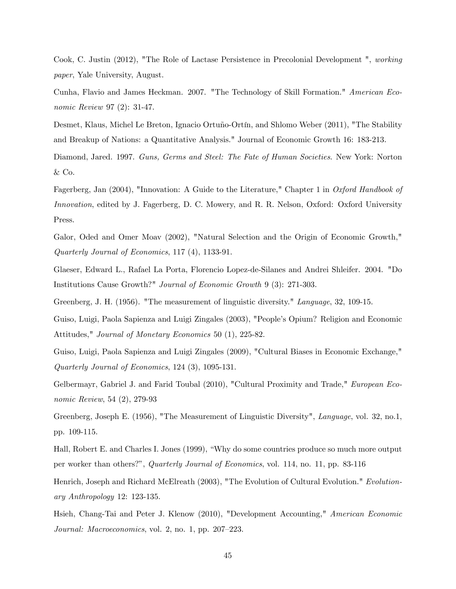Cook, C. Justin (2012), "The Role of Lactase Persistence in Precolonial Development ", working paper, Yale University, August.

Cunha, Flavio and James Heckman. 2007. "The Technology of Skill Formation." American Economic Review 97 (2): 31-47.

Desmet, Klaus, Michel Le Breton, Ignacio Ortuño-Ortín, and Shlomo Weber (2011), "The Stability and Breakup of Nations: a Quantitative Analysis." Journal of Economic Growth 16: 183-213.

Diamond, Jared. 1997. Guns, Germs and Steel: The Fate of Human Societies. New York: Norton & Co.

Fagerberg, Jan (2004), "Innovation: A Guide to the Literature," Chapter 1 in Oxford Handbook of Innovation, edited by J. Fagerberg, D. C. Mowery, and R. R. Nelson, Oxford: Oxford University Press.

Galor, Oded and Omer Moav (2002), "Natural Selection and the Origin of Economic Growth," Quarterly Journal of Economics, 117 (4), 1133-91.

Glaeser, Edward L., Rafael La Porta, Florencio Lopez-de-Silanes and Andrei Shleifer. 2004. "Do Institutions Cause Growth?" Journal of Economic Growth 9 (3): 271-303.

Greenberg, J. H. (1956). "The measurement of linguistic diversity." Language, 32, 109-15.

Guiso, Luigi, Paola Sapienza and Luigi Zingales (2003), "People's Opium? Religion and Economic Attitudes," Journal of Monetary Economics 50 (1), 225-82.

Guiso, Luigi, Paola Sapienza and Luigi Zingales (2009), "Cultural Biases in Economic Exchange," Quarterly Journal of Economics, 124 (3), 1095-131.

Gelbermayr, Gabriel J. and Farid Toubal (2010), "Cultural Proximity and Trade," European Economic Review, 54 (2), 279-93

Greenberg, Joseph E. (1956), "The Measurement of Linguistic Diversity", Language, vol. 32, no.1, pp. 109-115.

Hall, Robert E. and Charles I. Jones (1999), "Why do some countries produce so much more output per worker than others?î, Quarterly Journal of Economics, vol. 114, no. 11, pp. 83-116

Henrich, Joseph and Richard McElreath (2003), "The Evolution of Cultural Evolution." Evolutionary Anthropology 12: 123-135.

Hsieh, Chang-Tai and Peter J. Klenow (2010), "Development Accounting," American Economic Journal: Macroeconomics, vol. 2, no. 1, pp.  $207-223$ .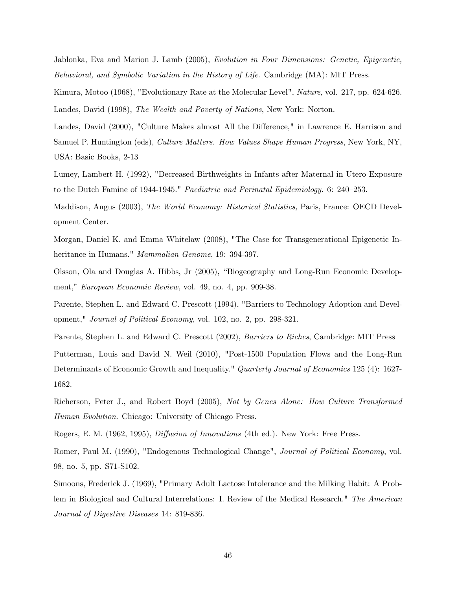Jablonka, Eva and Marion J. Lamb (2005), Evolution in Four Dimensions: Genetic, Epigenetic, Behavioral, and Symbolic Variation in the History of Life. Cambridge (MA): MIT Press.

Kimura, Motoo (1968), "Evolutionary Rate at the Molecular Level", Nature, vol. 217, pp. 624-626. Landes, David (1998), The Wealth and Poverty of Nations, New York: Norton.

Landes, David (2000), "Culture Makes almost All the Difference," in Lawrence E. Harrison and Samuel P. Huntington (eds), Culture Matters. How Values Shape Human Progress, New York, NY, USA: Basic Books, 2-13

Lumey, Lambert H. (1992), "Decreased Birthweights in Infants after Maternal in Utero Exposure to the Dutch Famine of 1944-1945." Paediatric and Perinatal Epidemiology. 6: 240–253.

Maddison, Angus (2003), The World Economy: Historical Statistics, Paris, France: OECD Development Center.

Morgan, Daniel K. and Emma Whitelaw (2008), "The Case for Transgenerational Epigenetic Inheritance in Humans." Mammalian Genome, 19: 394-397.

Olsson, Ola and Douglas A. Hibbs, Jr (2005), "Biogeography and Long-Run Economic Development," European Economic Review, vol. 49, no. 4, pp. 909-38.

Parente, Stephen L. and Edward C. Prescott (1994), "Barriers to Technology Adoption and Development," Journal of Political Economy, vol. 102, no. 2, pp. 298-321.

Parente, Stephen L. and Edward C. Prescott (2002), Barriers to Riches, Cambridge: MIT Press Putterman, Louis and David N. Weil (2010), "Post-1500 Population Flows and the Long-Run Determinants of Economic Growth and Inequality." Quarterly Journal of Economics 125 (4): 1627- 1682.

Richerson, Peter J., and Robert Boyd (2005), Not by Genes Alone: How Culture Transformed Human Evolution. Chicago: University of Chicago Press.

Rogers, E. M. (1962, 1995), *Diffusion of Innovations* (4th ed.). New York: Free Press.

Romer, Paul M. (1990), "Endogenous Technological Change", Journal of Political Economy, vol. 98, no. 5, pp. S71-S102.

Simoons, Frederick J. (1969), "Primary Adult Lactose Intolerance and the Milking Habit: A Problem in Biological and Cultural Interrelations: I. Review of the Medical Research." The American Journal of Digestive Diseases 14: 819-836.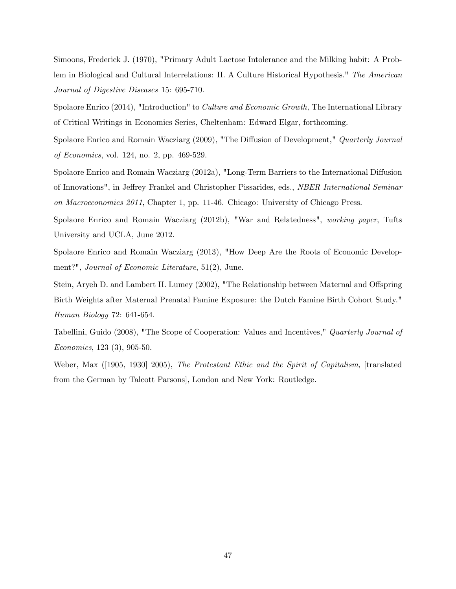Simoons, Frederick J. (1970), "Primary Adult Lactose Intolerance and the Milking habit: A Problem in Biological and Cultural Interrelations: II. A Culture Historical Hypothesis." The American Journal of Digestive Diseases 15: 695-710.

Spolaore Enrico (2014), "Introduction" to *Culture and Economic Growth*, The International Library of Critical Writings in Economics Series, Cheltenham: Edward Elgar, forthcoming.

Spolaore Enrico and Romain Wacziarg (2009), "The Diffusion of Development," Quarterly Journal of Economics, vol. 124, no. 2, pp. 469-529.

Spolaore Enrico and Romain Wacziarg (2012a), "Long-Term Barriers to the International Diffusion of Innovations", in Jeffrey Frankel and Christopher Pissarides, eds., *NBER International Seminar* on Macroeconomics 2011, Chapter 1, pp. 11-46. Chicago: University of Chicago Press.

Spolaore Enrico and Romain Wacziarg (2012b), "War and Relatedness", working paper, Tufts University and UCLA, June 2012.

Spolaore Enrico and Romain Wacziarg (2013), "How Deep Are the Roots of Economic Development?", Journal of Economic Literature, 51(2), June.

Stein, Aryeh D. and Lambert H. Lumey (2002), "The Relationship between Maternal and Offspring Birth Weights after Maternal Prenatal Famine Exposure: the Dutch Famine Birth Cohort Study." Human Biology 72: 641-654.

Tabellini, Guido (2008), "The Scope of Cooperation: Values and Incentives," Quarterly Journal of Economics, 123 (3), 905-50.

Weber, Max ([1905, 1930] 2005), The Protestant Ethic and the Spirit of Capitalism, [translated] from the German by Talcott Parsons], London and New York: Routledge.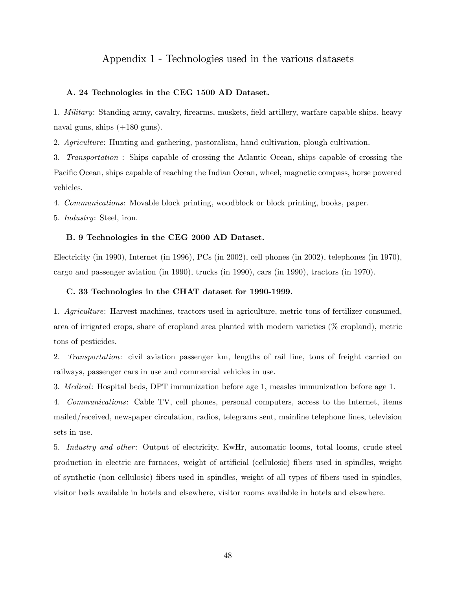## Appendix 1 - Technologies used in the various datasets

#### A. 24 Technologies in the CEG 1500 AD Dataset.

1. Military: Standing army, cavalry, Örearms, muskets, Öeld artillery, warfare capable ships, heavy naval guns, ships  $(+180 \text{ guns}).$ 

2. Agriculture: Hunting and gathering, pastoralism, hand cultivation, plough cultivation.

3. Transportation : Ships capable of crossing the Atlantic Ocean, ships capable of crossing the Pacific Ocean, ships capable of reaching the Indian Ocean, wheel, magnetic compass, horse powered vehicles.

4. Communications: Movable block printing, woodblock or block printing, books, paper.

5. Industry: Steel, iron.

#### B. 9 Technologies in the CEG 2000 AD Dataset.

Electricity (in 1990), Internet (in 1996), PCs (in 2002), cell phones (in 2002), telephones (in 1970), cargo and passenger aviation (in 1990), trucks (in 1990), cars (in 1990), tractors (in 1970).

#### C. 33 Technologies in the CHAT dataset for 1990-1999.

1. Agriculture: Harvest machines, tractors used in agriculture, metric tons of fertilizer consumed, area of irrigated crops, share of cropland area planted with modern varieties (% cropland), metric tons of pesticides.

2. Transportation: civil aviation passenger km, lengths of rail line, tons of freight carried on railways, passenger cars in use and commercial vehicles in use.

3. Medical: Hospital beds, DPT immunization before age 1, measles immunization before age 1.

4. Communications: Cable TV, cell phones, personal computers, access to the Internet, items mailed/received, newspaper circulation, radios, telegrams sent, mainline telephone lines, television sets in use.

5. Industry and other: Output of electricity, KwHr, automatic looms, total looms, crude steel production in electric arc furnaces, weight of artificial (cellulosic) fibers used in spindles, weight of synthetic (non cellulosic) Öbers used in spindles, weight of all types of Öbers used in spindles, visitor beds available in hotels and elsewhere, visitor rooms available in hotels and elsewhere.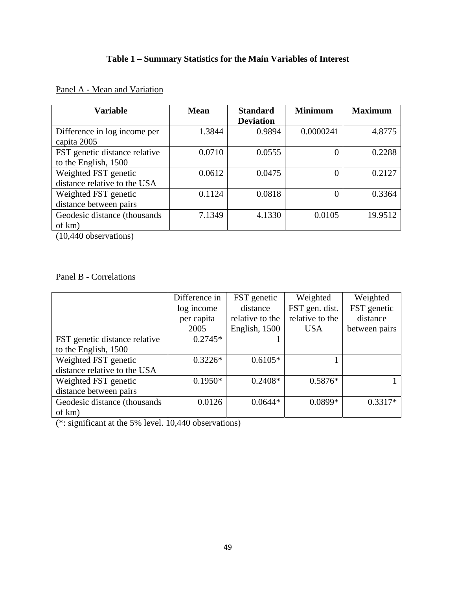# **Table 1 – Summary Statistics for the Main Variables of Interest**

## Panel A - Mean and Variation

| <b>Variable</b>               | <b>Mean</b> | <b>Standard</b>  | <b>Minimum</b> | <b>Maximum</b> |
|-------------------------------|-------------|------------------|----------------|----------------|
|                               |             | <b>Deviation</b> |                |                |
| Difference in log income per  | 1.3844      | 0.9894           | 0.0000241      | 4.8775         |
| capita 2005                   |             |                  |                |                |
| FST genetic distance relative | 0.0710      | 0.0555           |                | 0.2288         |
| to the English, 1500          |             |                  |                |                |
| Weighted FST genetic          | 0.0612      | 0.0475           |                | 0.2127         |
| distance relative to the USA  |             |                  |                |                |
| Weighted FST genetic          | 0.1124      | 0.0818           |                | 0.3364         |
| distance between pairs        |             |                  |                |                |
| Geodesic distance (thousands  | 7.1349      | 4.1330           | 0.0105         | 19.9512        |
| of km)                        |             |                  |                |                |

(10,440 observations)

## Panel B - Correlations

|                               | Difference in | FST genetic     | Weighted        | Weighted      |
|-------------------------------|---------------|-----------------|-----------------|---------------|
|                               | log income    | distance        | FST gen. dist.  | FST genetic   |
|                               | per capita    | relative to the | relative to the | distance      |
|                               | 2005          | English, 1500   | <b>USA</b>      | between pairs |
| FST genetic distance relative | $0.2745*$     |                 |                 |               |
| to the English, 1500          |               |                 |                 |               |
| Weighted FST genetic          | $0.3226*$     | $0.6105*$       |                 |               |
| distance relative to the USA  |               |                 |                 |               |
| Weighted FST genetic          | $0.1950*$     | $0.2408*$       | $0.5876*$       |               |
| distance between pairs        |               |                 |                 |               |
| Geodesic distance (thousands  | 0.0126        | $0.0644*$       | $0.0899*$       | $0.3317*$     |
| of km)                        |               |                 |                 |               |

(\*: significant at the 5% level. 10,440 observations)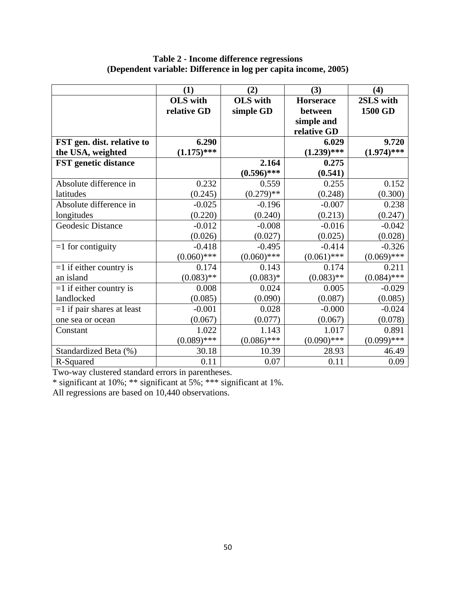## **Table 2 - Income difference regressions (Dependent variable: Difference in log per capita income, 2005)**

|                              | (1)             | (2)             | (3)              | (4)           |
|------------------------------|-----------------|-----------------|------------------|---------------|
|                              | <b>OLS</b> with | <b>OLS</b> with | <b>Horserace</b> | 2SLS with     |
|                              | relative GD     | simple GD       | between          | 1500 GD       |
|                              |                 |                 | simple and       |               |
|                              |                 |                 | relative GD      |               |
| FST gen. dist. relative to   | 6.290           |                 | 6.029            | 9.720         |
| the USA, weighted            | $(1.175)$ ***   |                 | $(1.239)$ ***    | $(1.974)$ *** |
| <b>FST</b> genetic distance  |                 | 2.164           | 0.275            |               |
|                              |                 | $(0.596)$ ***   | (0.541)          |               |
| Absolute difference in       | 0.232           | 0.559           | 0.255            | 0.152         |
| latitudes                    | (0.245)         | $(0.279)$ **    | (0.248)          | (0.300)       |
| Absolute difference in       | $-0.025$        | $-0.196$        | $-0.007$         | 0.238         |
| longitudes                   | (0.220)         | (0.240)         | (0.213)          | (0.247)       |
| Geodesic Distance            | $-0.012$        | $-0.008$        | $-0.016$         | $-0.042$      |
|                              | (0.026)         | (0.027)         | (0.025)          | (0.028)       |
| $=1$ for contiguity          | $-0.418$        | $-0.495$        | $-0.414$         | $-0.326$      |
|                              | $(0.060)$ ***   | $(0.060)$ ***   | $(0.061)$ ***    | $(0.069)$ *** |
| $=1$ if either country is    | 0.174           | 0.143           | 0.174            | 0.211         |
| an island                    | $(0.083)$ **    | $(0.083)*$      | $(0.083)$ **     | $(0.084)$ *** |
| $=1$ if either country is    | 0.008           | 0.024           | 0.005            | $-0.029$      |
| landlocked                   | (0.085)         | (0.090)         | (0.087)          | (0.085)       |
| $=1$ if pair shares at least | $-0.001$        | 0.028           | $-0.000$         | $-0.024$      |
| one sea or ocean             | (0.067)         | (0.077)         | (0.067)          | (0.078)       |
| Constant                     | 1.022           | 1.143           | 1.017            | 0.891         |
|                              | $(0.089)$ ***   | $(0.086)$ ***   | $(0.090)$ ***    | $(0.099)$ *** |
| Standardized Beta (%)        | 30.18           | 10.39           | 28.93            | 46.49         |
| R-Squared                    | 0.11            | 0.07            | 0.11             | 0.09          |

Two-way clustered standard errors in parentheses.

\* significant at 10%; \*\* significant at 5%; \*\*\* significant at 1%.

All regressions are based on 10,440 observations.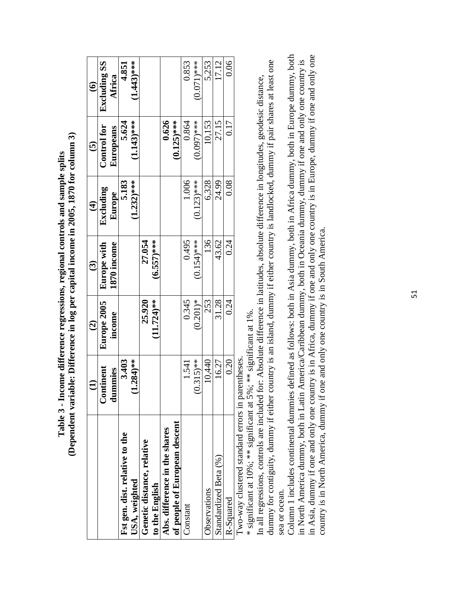|                                                   | $\widehat{\Xi}$       | $\widehat{\mathbf{c}}$ | $\odot$                | $\widehat{\mathbf{f}}$ | $\tilde{g}$   | $\widehat{\bullet}$    |
|---------------------------------------------------|-----------------------|------------------------|------------------------|------------------------|---------------|------------------------|
|                                                   | ntinent<br>ರ          | Europe 2005            | Europe with            | Excluding              | Control for   | <b>Excluding SS</b>    |
|                                                   | dummies               | income                 | 1870 income            | Europe                 | Europeans     | Africa                 |
| Fst gen. dist. relative to the                    | 3.403                 |                        |                        | 5.183                  | 5.624         | 4.851                  |
| USA, weighted                                     | $1.284$ <sup>**</sup> |                        |                        | $(1.232)$ ***          | $(1.143)$ *** | $1.443$ <sup>***</sup> |
| Genetic distance, relative                        |                       | 25.920                 | 27.054                 |                        |               |                        |
| to the English                                    |                       | $(11.724)$ **          | $(6.557)$ ***          |                        |               |                        |
| Abs. difference in the shares                     |                       |                        |                        |                        | 0.626         |                        |
| of people of European descent                     |                       |                        |                        |                        | $(0.125)$ *** |                        |
| Constant                                          | 1.541                 | 0.345                  | 0.495                  | 1.006                  | 0.864         | 0.853                  |
|                                                   | $0.315$ <sup>**</sup> | $(0.201)*$             | $0.154$ <sup>***</sup> | $(0.123)$ ***          | $(0.097)$ *** | $0.071$ <sup>***</sup> |
| <b>Observations</b>                               | 10,440                | 253                    | 136                    | 6.328                  | 10,153        | 5,253                  |
| Standardized Beta (%)                             | 16.27                 | 31.28                  | 43.62                  | 24.99                  | 27.15         | 17.12                  |
| R-Squared                                         | 0.20                  | 0.24                   | 0.24                   | 0.08                   | 0.17          | 0.06                   |
| Two-way clustered standard errors in parentheses. |                       |                        |                        |                        |               |                        |

**(Dependent variable: Difference in log per capital income in 2005, 1870 for column 3)**  (Dependent variable: Difference in log per capital income in 2005, 1870 for column 3) Table 3 - Income difference regressions, regional controls and sample splits **Table 3 - Income difference regressions, regional controls and sample splits** 

Two-way clustered standard errors in parentheses.

\* significant at 10%; \*\* significant at 5%; \*\* significant at 1%. \* significant at 10%; \*\* significant at 5%; \*\* significant at 1%.

dummy for contiguity, dummy if either country is an island, dummy if either country is landlocked, dummy if pair shares at least one dummy for contiguity, dummy if either country is an island, dummy if either country is landlocked, dummy if pair shares at least one In all regressions, controls are included for: Absolute difference in latitudes, absolute difference in longitudes, geodesic distance, In all regressions, controls are included for: Absolute difference in latitudes, absolute difference in longitudes, geodesic distance, sea or ocean. sea or ocean.

Column 1 includes continental dummies defined as follows: both in Asia dummy, both in Africa dummy, both in Europe dummy, both in Asia, dummy if one and only one country is in Africa, dummy if one and only one country is in Europe, dummy if one and only one Column 1 includes continental dummies defined as follows: both in Asia dummy, both in Africa dummy, both in Europe dummy, both in Asia, dummy if one and only one country is in Africa, dummy if one and only one country is in Europe, dummy if one and only one in North America dummy, both in Latin America/Caribbean dummy, both in Oceania dummy, dummy if one and only one country is in North America dummy, both in Latin America/Caribbean dummy, both in Oceania dummy, dummy if one and only one country is country is in North America, dummy if one and only one country is in South America. country is in North America, dummy if one and only one country is in South America.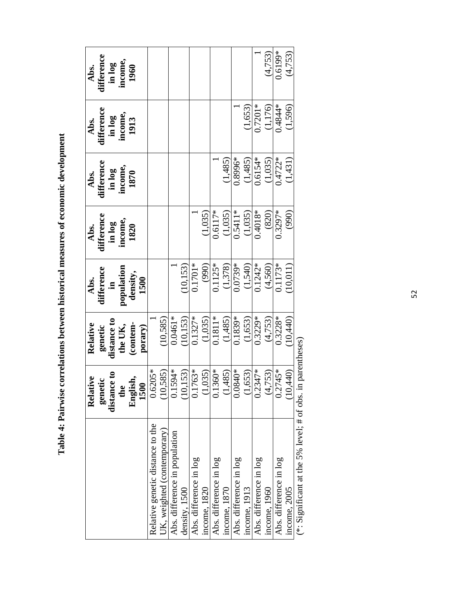|                                                              | Relative                             | Relative    | Abs.       | Abs.       | Abs.       | Abs.       | Abs.       |
|--------------------------------------------------------------|--------------------------------------|-------------|------------|------------|------------|------------|------------|
|                                                              | genetic                              | genetic     | difference | difference | difference | difference | difference |
|                                                              | $\tt e$<br>distance                  | distance to | $\Xi$      | in log     | in log     | in log     | in log     |
|                                                              | the                                  | the UK.     | population | income,    | income,    | income,    | income.    |
|                                                              | English                              | (contem-    | density,   | 1820       | 1870       | 1913       | 1960       |
|                                                              | 1500                                 | porary)     | 1500       |            |            |            |            |
| Relative genetic distance to the                             | )5*<br>0.620                         |             |            |            |            |            |            |
| JK, weighted (contemporary)                                  | (10, 585)                            | (10, 585)   |            |            |            |            |            |
| Abs. difference in population                                | $0.1594*$                            | $0.0461*$   |            |            |            |            |            |
| density, 1500                                                | (10, 153)                            | (10, 153)   | (10, 153)  |            |            |            |            |
| Abs. difference in log                                       | $0.1763*$                            | $0.1327*$   | $0.1701*$  |            |            |            |            |
| income, 1820                                                 | (1,035)                              | (1,035)     | (990)      | (1,035)    |            |            |            |
| Abs. difference in log                                       | $0.1360*$                            | $0.1811*$   | $0.1125*$  | $0.6117*$  |            |            |            |
| income, 1870                                                 | (1,485)                              | (1,485)     | (1,378)    | (1,035)    | (1,485)    |            |            |
| Abs. difference in log                                       | $\stackrel{*}{\mathcal{Q}}$<br>0.084 | $0.1839*$   | $0.0739*$  | $0.5411*$  | 0.8996*    |            |            |
| income, 1913                                                 | (1,653)                              | (1,653)     | (1,540)    | (1,035)    | (1,485)    | (1,653)    |            |
| Abs. difference in log                                       | ¥∠<br>0.234                          | $0.3229*$   | $0.1242*$  | $0.4018*$  | $0.6154*$  | $0.7201*$  |            |
| income, 1960                                                 | (4,753)                              | (4,753)     | (4,560)    | (820)      | (1,035)    | (1,176)    | (4,753)    |
| Abs. difference in log                                       | £š<br>0.274                          | $0.3228*$   | $0.1173*$  | $0.3297*$  | $0.4722*$  | $0.4844*$  | 0.6199*    |
| income, 2005                                                 | (10, 440)                            | (10,440)    | (10, 011)  | (990)      | (1,431)    | (1,596)    | (4,753)    |
| $(*:$ Significant at the 5% level: # of obs. in parentheses) |                                      |             |            |            |            |            |            |

Table 4: Pairwise correlations between historical measures of economic development **Table 4: Pairwise correlations between historical measures of economic development** 

(\*: Significant at the 5% level; # of obs. in parentheses) i<br>E  $\overline{a}$  $\mathbf{m_{S}}$ rc $\cdot$  )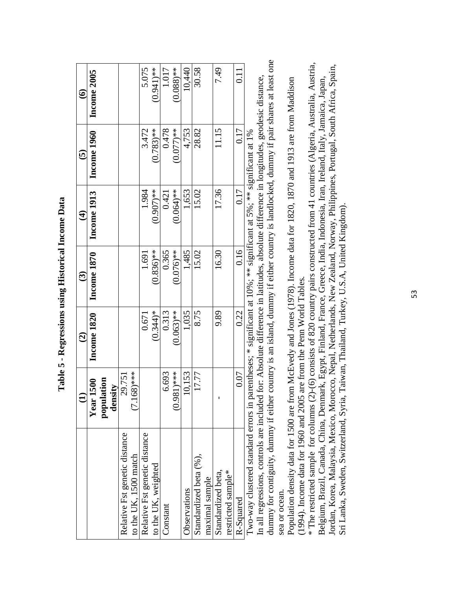|                                                                                                                               |                  | $\widehat{c}$ | $\widehat{\mathcal{C}}$ | $\hat{f}$    | $\ddot{6}$   | $\widehat{\bullet}$ |
|-------------------------------------------------------------------------------------------------------------------------------|------------------|---------------|-------------------------|--------------|--------------|---------------------|
|                                                                                                                               | <b>Year 1500</b> | Income 1820   | Income 1870             | Income 1913  | Income 1960  | Income 2005         |
|                                                                                                                               | lation<br>popul  |               |                         |              |              |                     |
|                                                                                                                               | density          |               |                         |              |              |                     |
| Relative Fst genetic distance                                                                                                 | 29.751           |               |                         |              |              |                     |
| to the UK, 1500 match                                                                                                         | 68)****<br>L)    |               |                         |              |              |                     |
| Relative Fst genetic distance                                                                                                 |                  | 0.671         | 1.691                   | 1.984        | 3.472        | 5.075               |
| to the UK, weighted                                                                                                           |                  | $(0.344)$ *   | $(0.836)**$             | $(0.907)$ ** | $(0.783)$ ** | $(0.941)$ **        |
| Constant                                                                                                                      | 6.693            | 0.313         | 0.365                   | 0.421        | 0.478        | 1.017               |
|                                                                                                                               | $(0.981)$ ***    | $(0.063)$ **  | $(0.076)**$             | $(0.064)$ ** | $(0.077)**$  | $(0.088)$ **        |
| <b>Diservations</b>                                                                                                           | 10,153           | 1,035         | 1,485                   | 1,653        | 4,753        | 10,440              |
| Standardized beta (%),                                                                                                        | 17.77            | 8.75          | 15.02                   | 15.02        | 28.82        | 30.58               |
| maximal sample                                                                                                                |                  |               |                         |              |              |                     |
| Standardized beta,                                                                                                            |                  | 9.89          | 16.30                   | 17.36        | 11.15        | 7.49                |
| restricted sample*                                                                                                            |                  |               |                         |              |              |                     |
| R-Squared                                                                                                                     | 0.07             | 0.22          | 0.16                    | 0.17         | 0.17         | $\overline{0.11}$   |
| Two-way clustered standard errors in parentheses: * significant at $10\%$ : ** significant at $5\%$ : ** significant at $1\%$ |                  |               |                         |              |              |                     |

**Table 5 - Regressions using Historical Income Data**  Table 5 - Regressions using Historical Income Data

Two-way clustered standard errors in parentheses; \* significant at 10%; \*\* significant at 5%; \*\* significant at 1%

dummy for contiguity, dummy if either country is an island, dummy if either country is landlocked, dummy if pair shares at least one dummy for contiguity, dummy if either country is an island, dummy if either country is landlocked, dummy if pair shares at least one In all regressions, controls are included for: Absolute difference in latitudes, absolute difference in longitudes, geodesic distance, In all regressions, controls are included for: Absolute difference in latitudes, absolute difference in longitudes, geodesic distance, sea or ocean. sea or ocean.

Population density data for 1500 are from McEvedy and Jones (1978). Income data for 1820, 1870 and 1913 are from Maddison Population density data for 1500 are from McEvedy and Jones (1978). Income data for 1820, 1870 and 1913 are from Maddison (1994). Income data for 1960 and 2005 are from the Penn World Tables. (1994). Income data for 1960 and 2005 are from the Penn World Tables.

\* The restricted sample for columns (2)-(6) consists of 820 country pairs constructed from 41 countries (Algeria, Australia, Austria, \* The restricted sample for columns (2)-(6) consists of 820 country pairs constructed from 41 countries (Algeria, Australia, Austria, Jordan, Korea, Malaysia, Mexico, Morocco, Nepal, Netherlands, New Zealand, Norway, Philippines, Portugal, South Africa, Spain, Jordan, Korea, Malaysia, Mexico, Morocco, Nepal, Netherlands, New Zealand, Norway, Philippines, Portugal, South Africa, Spain, Belgium, Brazil, Canada, China, Denmark, Egypt, Finland, France, Greece, India, Indonesia, Iran, Ireland, Italy, Jamaica, Japan, Belgium, Brazil, Canada, China, Denmark, Egypt, Finland, France, Greece, India, Indonesia, Iran, Ireland, Italy, Jamaica, Japan, Sri Lanka, Sweden, Switzerland, Syria, Taiwan, Thailand, Turkey, U.S.A, United Kingdom). Sri Lanka, Sweden, Switzerland, Syria, Taiwan, Thailand, Turkey, U.S.A, United Kingdom).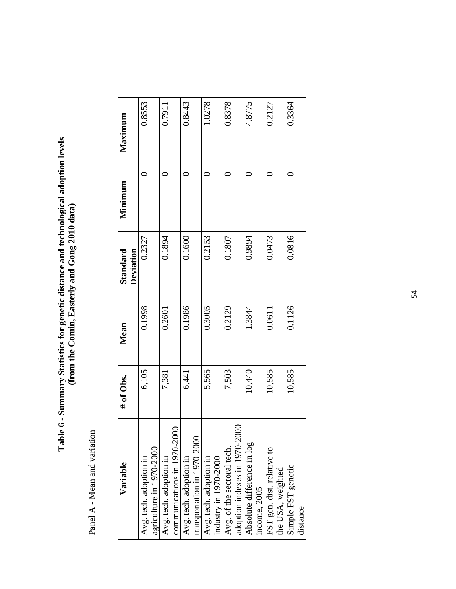# Table 6 - Summary Statistics for genetic distance and technological adoption levels<br>(from the Comin, Easterly and Gong 2010 data) **Table 6 - Summary Statistics for genetic distance and technological adoption levels (from the Comin, Easterly and Gong 2010 data)**

Panel A - Mean and variation Panel A - Mean and variation

| Variable                      | # of Obs. | Mean   | Standard         | Minimum | Maximum |
|-------------------------------|-----------|--------|------------------|---------|---------|
|                               |           |        | <b>Deviation</b> |         |         |
| Avg. tech. adoption in        | 6,105     | 0.1998 | 0.2327           |         | 0.8553  |
| agriculture in 1970-2000      |           |        |                  |         |         |
| Avg. tech. adoption in        | 7,381     | 0.2601 | 0.1894           |         | 0.7911  |
| communications in 1970-2000   |           |        |                  |         |         |
| Avg. tech. adoption in        | 6,441     | 0.1986 | 0.1600           |         | 0.8443  |
| transportation in 1970-2000   |           |        |                  |         |         |
| Avg. tech. adoption in        | 5,565     | 0.3005 | 0.2153           |         | 1.0278  |
| industry in 1970-2000         |           |        |                  |         |         |
| Avg. of the sectoral tech.    | 7,503     | 0.2129 | 0.1807           |         | 0.8378  |
| adoption indexes in 1970-2000 |           |        |                  |         |         |
| Absolute difference in log    | 10,440    | 1.3844 | 0.9894           |         | 4.8775  |
| income, 2005                  |           |        |                  |         |         |
| FST gen. dist. relative to    | 10,585    | 0.0611 | 0.0473           |         | 0.2127  |
| the USA, weighted             |           |        |                  |         |         |
| Simple FST genetic            | 10,585    | 0.1126 | 0.0816           | ⊂       | 0.3364  |
| distance                      |           |        |                  |         |         |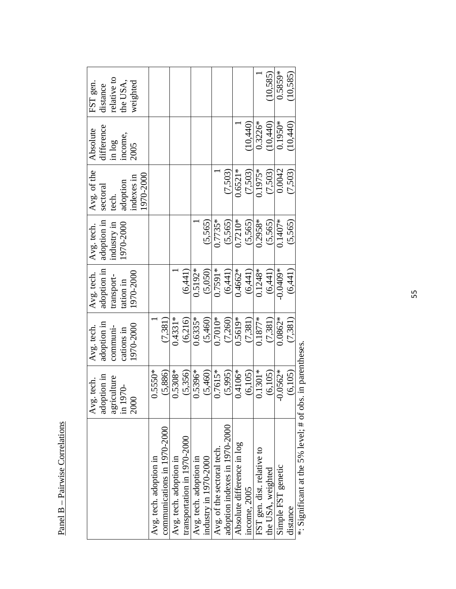| $\tilde{\zeta}$<br>Č<br>J |  |
|---------------------------|--|
| $-1111100$                |  |
|                           |  |
| t<br>Ş                    |  |

| adoption in<br>Avg. tech.                                                                                                                                                                                                      | adoption in<br>Avg. tech. | adoption in<br>Avg. tech. | adoption in<br>Avg. tech. | Avg. of the<br>sectoral | difference<br>Absolute | FST gen.<br>distance |
|--------------------------------------------------------------------------------------------------------------------------------------------------------------------------------------------------------------------------------|---------------------------|---------------------------|---------------------------|-------------------------|------------------------|----------------------|
| agriculture                                                                                                                                                                                                                    | communi-                  | transport-                | industry in               | tech.                   | in log                 | relative to          |
| in 1970-                                                                                                                                                                                                                       | cations in                | tation in                 | 1970-2000                 | adoption                | income,                | the USA              |
| 2000                                                                                                                                                                                                                           | 1970-2000                 | 1970-2000                 |                           | indexes in              | 2005                   | weighted             |
|                                                                                                                                                                                                                                |                           |                           |                           | 1970-2000               |                        |                      |
| $0.5550*$                                                                                                                                                                                                                      |                           |                           |                           |                         |                        |                      |
| (5,886)                                                                                                                                                                                                                        | (7, 381)                  |                           |                           |                         |                        |                      |
| $0.5308*$                                                                                                                                                                                                                      | $0.4331*$                 |                           |                           |                         |                        |                      |
| (5,356)                                                                                                                                                                                                                        | (6,216)                   | (6,441)                   |                           |                         |                        |                      |
| $0.5396*$                                                                                                                                                                                                                      | $0.6335*$                 | $0.5192*$                 |                           |                         |                        |                      |
| (5,460)                                                                                                                                                                                                                        | (5,460)                   | (5.050)                   | (5,565)                   |                         |                        |                      |
| $0.7615*$                                                                                                                                                                                                                      | $0.7010*$                 | $0.7591*$                 | $0.7735*$                 |                         |                        |                      |
| (5.995)                                                                                                                                                                                                                        | (7,260)                   | (6,441)                   | (5,565)                   | (7,503)                 |                        |                      |
| $0.4106*$                                                                                                                                                                                                                      | $0.5619*$                 | $0.4662*$                 | $0.7210*$                 | $0.6521*$               |                        |                      |
| (6,105)                                                                                                                                                                                                                        | (7, 381)                  | (6,441)                   | (5,565)                   | (7,503)                 | (10, 440)              |                      |
| $0.1301*$                                                                                                                                                                                                                      | $0.1877*$                 | $0.1248*$                 | $0.2958*$                 | $0.1975*$               | $0.3226*$              |                      |
| (6,105)                                                                                                                                                                                                                        | (7,381)                   | (6,441)                   | (5,565)                   | (7,503)                 | (10, 440)              | (10, 585)            |
| $-0.0562*$                                                                                                                                                                                                                     | $0.0862*$                 | $-0.0409*$                | $0.1407*$                 | 0.0042                  | $0.1950*$              | $0.5859*$            |
| (6,105)                                                                                                                                                                                                                        | (7, 381)                  | (6, 441)                  | (5,565)                   | (7,503)                 | (10, 440)              | (10, 585)            |
| codetto: from the tell of the first of the first of the first of the first of the first of the first of the first of the first of the first of the first of the first of the first of the first of the first of the first of t |                           |                           |                           |                         |                        |                      |

\*: Significant at the 5% level; # of obs. in parentheses. \*: Significant at the 5% level; # of obs. in parentheses.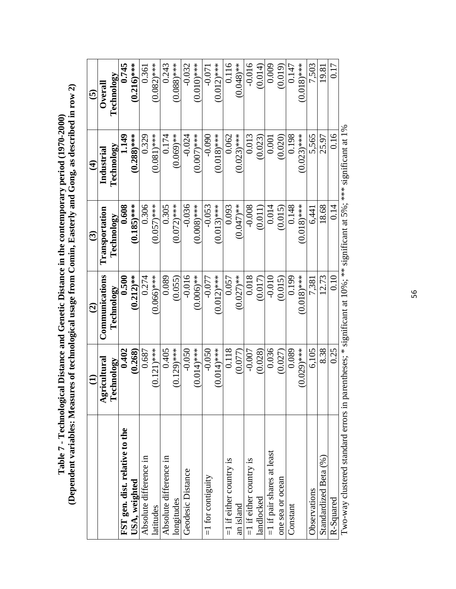|                                | $\widehat{\mathsf{d}}$ | $\widehat{\mathbf{c}}$ | $\widehat{\mathbf{c}}$ | $\widehat{\mathbf{f}}$ | $\widehat{\mathbf{e}}$ |
|--------------------------------|------------------------|------------------------|------------------------|------------------------|------------------------|
|                                | Agricultural           | Communications         | <b>L'ansportation</b>  | Industrial             | Overall                |
|                                | Technology             | Technology             | Technology             | Technology             | Technology             |
| FST gen. dist. relative to the | 0.402                  | 0.500                  | 0.608                  | 1.149                  | 0.745                  |
| JSA, weighted                  | (0.268)                | $(0.212)$ **           | $(0.185)$ ***          | $0.288$ )****          | $0.216$ <sup>***</sup> |
| Absolute difference in         | 0.687                  | 0.274                  | 0.306                  | 0.329                  | 0.361                  |
| latitudes                      | $(0.121)$ ***          | $0.066$ <sup>***</sup> | $(0.057)$ ***          | $0.081$ <sup>***</sup> | $0.082$ )***           |
| Absolute difference in         | 0.405                  | 0.089                  | 0.305                  | 0.174                  | 0.243                  |
| longitudes                     | $(0.129)$ ***          | (0.055)                | $(0.072)$ ***          | $(0.069)$ **           | $(0.088)$ ***          |
| Geodesic Distance              | $-0.050$               | $-0.016$               | $-0.036$               | $-0.024$               | $-0.032$               |
|                                | $(0.014)$ ***          | $(0.006)$ **           | $(0.008)$ ***          | $(0.007)$ ***          | $(0.010)***$           |
| $=1$ for contiguity            | $-0.050$               | $-0.077$               | $-0.053$               | $-0.090$               | $-0.071$               |
|                                | $(0.014)$ ****         | $(0.012)$ ***          | $(0.013)$ ***          | $(0.018)$ ***          | $(0.012)$ ***          |
| $=1$ if either country is      | 0.118                  | 0.057                  | 0.093                  | 0.062                  | 0.116                  |
| an island                      | (0.077)                | $(0.027)$ **           | $(0.047)$ **           | $0.023$ <sup>***</sup> | $(0.048)$ **           |
| $=$ 1 if either country is     | $-0.007$               | 0.018                  | $-0.008$               | 0.013                  | $-0.016$               |
| landlocked                     | (0.028)                | (0.017)                | (0.011)                | (0.023)                | (0.014)                |
| =1 if pair shares at least     | 0.036                  | $-0.010$               | 0.014                  | 0.001                  | 0.009                  |
| one sea or ocean               | (0.027)                | (0.015)                | (0.015)                | (0.020)                | (0.019)                |
| Constant                       | 0.089                  | 0.199                  | 0.148                  | 0.198                  | 0.147                  |
|                                | $(0.029)$ ***          | $0.018$ <sup>***</sup> | $0.018$ <sup>***</sup> | $0.023$ <sup>***</sup> | $0.018$ <sup>***</sup> |
| Observations                   | 6,105                  | 7.381                  | 6.41                   | 5,565                  | 7,503                  |
| Standardized Beta (%)          | 8.38                   | 12.73                  | 18.68                  | 25.97                  | 19.81                  |
| R-Squared                      | 0.25                   | 0.10                   | 0.14                   | 0.16                   | 0.17                   |

**(Dependent variables: Measures of technological usage from Comin, Easterly and Gong, as described in row 2)**  (Dependent variables: Measures of technological usage from Comin, Easterly and Gong, as described in row 2) **Table 7 - Technological Distance and Genetic Distance in the contemporary period (1970-2000)**  Table 7 - Technological Distance and Genetic Distance in the contemporary period (1970-2000)

Two-way clustered standard errors in parentheses; \* significant at 10%; \*\* significant at 5%; \*\*\* significant at 1% Two-way clustered standard errors in parentheses; \* significant at 10%; \*\* significant at 5%; \*\*\* significant at 1%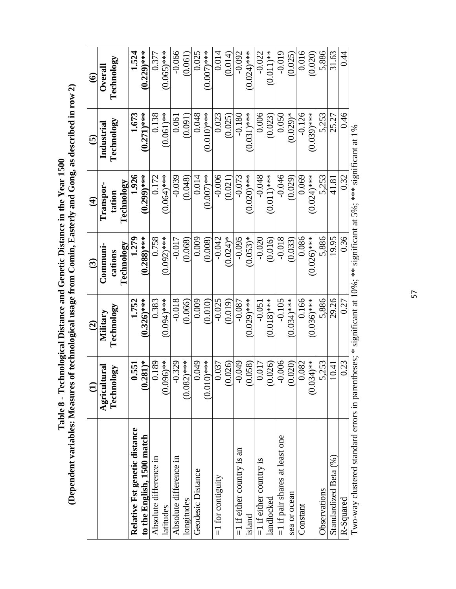|                                  | €                               | $\widehat{c}$          | $\widehat{\mathbf{c}}$ | $\widehat{\mathbf{f}}$ | $\widehat{\mathbf{e}}$ | $\widehat{\bullet}$    |
|----------------------------------|---------------------------------|------------------------|------------------------|------------------------|------------------------|------------------------|
|                                  | Agricultural                    | Military               | Communi                | Transpor               | Industrial             | Overall                |
|                                  | Technology                      | Technology             | cations                | tation                 | Technology             | Technology             |
| Relative Fst genetic distance    | 0.551                           | 1.752                  | 1.279<br>Technology    | 1.926<br>Technology    | 1.673                  | 1.524                  |
| to the English, 1500 match       | $(181)^*$<br>$\dot{\mathbf{e}}$ | $0.326$ <sup>***</sup> | $0.288$ $**$           | $(0.299)^{***}$        | $0.271$ <sup>***</sup> | $0.229$ <sup>***</sup> |
| Absolute difference in           | 0.189                           | 0.383                  | 0.758                  | 0.172                  | 0.138                  | 0.377                  |
| latitudes                        | $**(96)$<br>$\widetilde{0.0}$   | $(0.094)$ ***          | $(0.092)$ ***          | $0.064$ <sup>***</sup> | $(0.061)$ **           | $0.065$ <sup>***</sup> |
| Absolute difference in           | $-0.329$                        | $-0.018$               | $-0.017$               | $-0.039$               | 0.061                  | $-0.066$               |
| longitudes                       | $(0.082)$ ***                   | (0.066)                | (0.068)                | (0.048)                | (0.091)                | (0.061)                |
| Geodesic Distance                | 0.049                           | 0.009                  | 0.009                  | 0.014                  | 0.048                  | 0.025                  |
|                                  | $10^{***}$<br>(0.01)            | (0.010)                | (0.008)                | $(0.007)$ **           | $(0.010)****$          | $0.007$ <sup>***</sup> |
| $=1$ for contiguity              | 0.037                           | $-0.025$               | $-0.042$               | $-0.006$               | 0.023                  | 0.014                  |
|                                  | (0.026)                         | (0.019)                | $(0.024)$ *            | (0.021)                | (0.025)                | (0.014)                |
| $=1$ if either country is an     | $-0.049$                        | $-0.087$               | $-0.095$               | $-0.073$               | $-0.180$               | $-0.092$               |
| island                           | 0.058)                          | $(0.029)$ ***          | $(0.053)*$             | $(0.020)$ ***          | $(0.031)$ ***          | $(0.024)$ ***          |
| $=1$ if either country is        | 0.017                           | $-0.051$               | $-0.020$               | $-0.048$               | 0.006                  | $-0.022$               |
| landlocked                       | 0.026                           | $(0.018)$ ***          | (0.016)                | $(0.011)$ ***          | (0.023)                | $(0.011)$ **           |
| $=1$ if pair shares at least one | $-0.006$                        | $-0.105$               | $-0.018$               | $-0.046$               | 0.050                  | $-0.019$               |
| sea or ocean                     | 0.020)                          | $(0.034)$ ***          | (0.033)                | (0.029)                | $(0.029)*$             | (0.025)                |
| Constant                         | 0.082                           | 0.166                  | 0.086                  | 0.069                  | $-0.126$               | 0.016                  |
|                                  | $(0.034)$ **                    | $0.036$ <sup>***</sup> | $0.026$ <sup>***</sup> | $0.024$ <sup>***</sup> | $0.039$ <sup>***</sup> | (0.020)                |
| Observations                     | 5,253                           | 5,886                  | 5,886                  | 5,253                  | 5,253                  | 5,886                  |
| Standardized Beta (%)            | 10.41                           | 29.26                  | 19.95                  | 41.81                  | 25.27                  | 31.63                  |
| R-Squared                        | 0.23                            | 0.27                   | 0.36                   | 0.32                   | 0.46                   | 0.44                   |

**(Dependent variables: Measures of technological usage from Comin, Easterly and Gong, as described in row 2)**  (Dependent variables: Measures of technological usage from Comin, Easterly and Gong, as described in row 2) Table 8 - Technological Distance and Genetic Distance in the Year 1500 **Table 8 - Technological Distance and Genetic Distance in the Year 1500** 

Two-way clustered standard errors in parentheses; \* significant at 10%; \*\* significant at 5%; \*\*\* significant at 1% Two-way clustered standard errors in parentheses; \* significant at 10%; \*\* significant at 5%; \*\*\* significant at 1%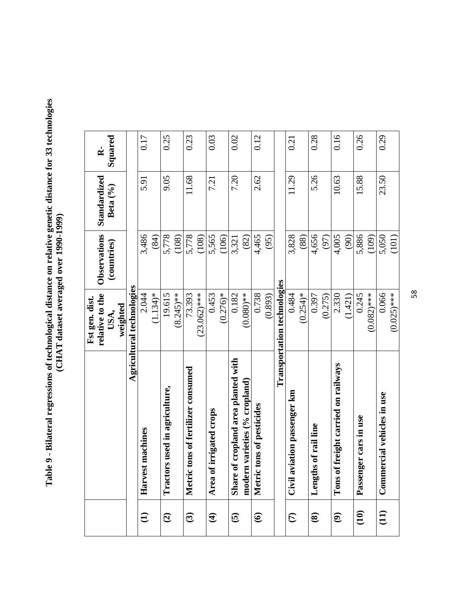Table 9 - Bilateral regressions of technological distance on relative genetic distance for 33 technologies<br>(CHAT dataset averaged over 1990-1999) **Table 9 - Bilateral regressions of technological distance on relative genetic distance for 33 technologies (CHAT dataset averaged over 1990-1999)**

|                         |                                          | Fst gen. dist.                     |              |              |              |
|-------------------------|------------------------------------------|------------------------------------|--------------|--------------|--------------|
|                         |                                          | relative to the                    | Observations | Standardized | $\mathbf{z}$ |
|                         |                                          | weighted<br>USA.                   | (countries)  | Beta (%)     | Squared      |
|                         |                                          | Agricultural technologies          |              |              |              |
|                         |                                          |                                    |              |              |              |
| $\ominus$               | Harvest machines                         | 2.044                              | 3,486        | 5.91         | 0.17         |
|                         |                                          | $(1.134)*$                         | (84)         |              |              |
| $\widehat{\mathbf{c}}$  | used in agriculture,<br>Tractors         | 19.615                             | 5,778        | 9.05         | 0.25         |
|                         |                                          | $(8.245)$ **                       | (108)        |              |              |
| $\widehat{\mathbf{c}}$  | Metric tons of fertilizer consumed       | 73.393                             | 5,778        | 11.68        | 0.23         |
|                         |                                          | $(23.062)$ ***                     | (108)        |              |              |
| $\widehat{\mathbf{t}}$  | rrigated crops<br>Area of in             | 0.453                              | 5,565        | 7.21         | 0.03         |
|                         |                                          | $(0.276)*$                         | (106)        |              |              |
| $\widehat{\mathbf{e}}$  | cropland area planted with<br>Share of   | 0.182                              | 3,321        | 7.20         | 0.02         |
|                         | modern varieties (% cropland)            | $(0.080)*$                         | (82)         |              |              |
| $\widehat{\bullet}$     | Metric tons of pesticides                | 0.738                              | 4,465        | 2.62         | 0.12         |
|                         |                                          | (0.893)                            | (95)         |              |              |
|                         |                                          | <b>Transportation technologies</b> |              |              |              |
| $\widehat{\mathcal{C}}$ | tion passenger km<br>Civil avia          | 0.484                              | 3,828        | 11.29        | 0.21         |
|                         |                                          | $(0.254)*$                         | (88)         |              |              |
| $\circledast$           | f rail line<br>Lengths o                 | 0.397                              | 4,656        | 5.26         | 0.28         |
|                         |                                          | (0.275)                            | (97)         |              |              |
| ම                       | reight carried on railways<br>Tons of fi | 2.330                              | 4,005        | 10.63        | 0.16         |
|                         |                                          | (1.421)                            | (90)         |              |              |
| $\widehat{10}$          | r cars in use<br>Passenger               | 0.245                              | 5,886        | 15.88        | 0.26         |
|                         |                                          | $(0.082)$ ***                      | (109)        |              |              |
| $\widehat{\Xi}$         | cial vehicles in use<br>Commer           | 0.066                              | 5,050        | 23.50        | 0.29         |
|                         |                                          | $(0.025)$ ***                      | (101)        |              |              |

58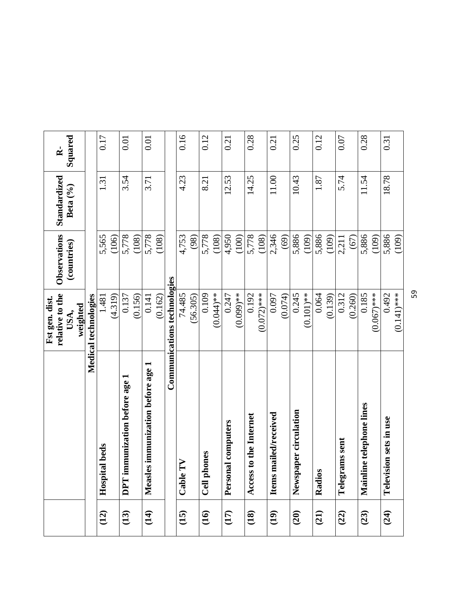|                              |                                      | Fst gen. dist.                     |              |              |              |
|------------------------------|--------------------------------------|------------------------------------|--------------|--------------|--------------|
|                              |                                      | relative to the                    | Observations | Standardized | $\mathbf{k}$ |
|                              |                                      | weighted<br>USA,                   | (countries)  | Beta (%)     | Squared      |
|                              |                                      | Medical technologies               |              |              |              |
| $\widetilde{\mathbf{d}}$     | beds<br>Hospital                     | 1.481                              | 5,565        | 1.31         | 0.17         |
|                              |                                      | (4.319)                            | (106)        |              |              |
| $\widetilde{\mathbf{C}}$     | munization before age 1<br>DPT imi   | 0.137                              | 5,778        | 3.54         | 0.01         |
|                              |                                      | (0.156)                            | (108)        |              |              |
| $\widehat{H}$                | immunization before age 1<br>Measles | 0.141                              | 5,778        | 3.71         | 0.01         |
|                              |                                      | (0.162)                            | (108)        |              |              |
|                              |                                      | <b>Communications technologies</b> |              |              |              |
| $\widetilde{\mathbf{5}}$     | ⋗<br>Cable T                         | 74.485                             | 4,753        | 4.23         | 0.16         |
|                              |                                      | (56.305)                           | (98)         |              |              |
| $\widetilde{\mathbf{C}}$     | Cell phones                          | 0.109                              | 5,778        | 8.21         | 0.12         |
|                              |                                      | $(0.044)$ **                       | (108)        |              |              |
| (17)                         | computers<br>Persona                 | 0.247                              | 4,950        | 12.53        | 0.21         |
|                              |                                      | $(0.099)$ **                       | (100)        |              |              |
| $\overline{\mathbf{S}}$      | o the Internet<br>Access to          | 0.192                              | 5,778        | 14.25        | 0.28         |
|                              |                                      | $(0.072)$ ***                      | (108)        |              |              |
| $\left( \frac{1}{2} \right)$ | Items mailed/received                | 0.097                              | 2,346        | 11.00        | 0.21         |
|                              |                                      | (0.074)                            | (69)         |              |              |
| $\widehat{20}$               | per circulation<br>Newspap           | 0.245                              | 5,886        | 10.43        | 0.25         |
|                              |                                      | $(0.101)$ **                       | (109)        |              |              |
| $\mathbf{1}$                 | Radios                               | 0.064                              | 5,886        | 1.87         | 0.12         |
|                              |                                      | (0.139)                            | (109)        |              |              |
| $\widetilde{c}$              | ns sent<br>Telegrar                  | 0.312                              | 2,211        | 5.74         | 0.07         |
|                              |                                      | (0.260)                            | (67)         |              |              |
| (23)                         | e telephone lines<br>Mainlin         | 0.185                              | 5,886        | 11.54        | 0.28         |
|                              |                                      | $(0.067)$ ***                      | (109)        |              |              |
| $\widetilde{d}$              | in sets in use<br>Televisio          | 0.492                              | 5,886        | 18.78        | 0.31         |
|                              |                                      | $(0.141)$ ***                      | (109)        |              |              |

59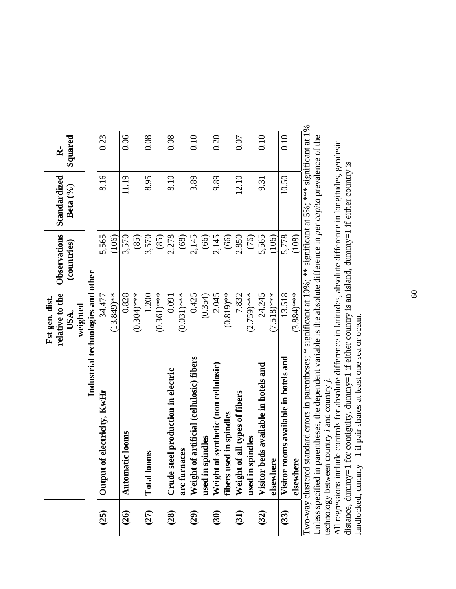|                           |                                                                                                                      | Fst gen. dist.                    |              |              |              |
|---------------------------|----------------------------------------------------------------------------------------------------------------------|-----------------------------------|--------------|--------------|--------------|
|                           |                                                                                                                      | relative to the                   | Observations | Standardized | $\mathbf{z}$ |
|                           |                                                                                                                      | USA,                              | (countries)  | Beta (%)     | Squared      |
|                           |                                                                                                                      | weighted                          |              |              |              |
|                           |                                                                                                                      | Industrial technologies and other |              |              |              |
| (25)                      | electricity, KwHr<br>Output of                                                                                       | 34.477                            | 5,565        | 8.16         | 0.23         |
|                           |                                                                                                                      | $(13.849)$ **                     | (106)        |              |              |
| $\widetilde{\mathcal{L}}$ | Automatic looms                                                                                                      | 0.828                             | 3,570        | 11.19        | 0.06         |
|                           |                                                                                                                      | $(0.304)$ ***                     | (85)         |              |              |
| (27)                      | <b>Total looms</b>                                                                                                   | 1.200                             | 3,570        | 8.95         | 0.08         |
|                           |                                                                                                                      | $(0.361)$ ***                     | (85)         |              |              |
| (28)                      | Crude steel production in electric                                                                                   | 0.091                             | 2,278        | 8.10         | 0.08         |
|                           | 39.<br>arc furna                                                                                                     | $(0.031)$ ***                     | (68)         |              |              |
| (29)                      | artificial (cellulosic) fibers<br>Weight of                                                                          | 0.425                             | 2,145        | 3.89         | 0.10         |
|                           | indles<br>used in spi                                                                                                | (0.354)                           | (66)         |              |              |
| $\widehat{S}$             | synthetic (non cellulosic)<br>Weight of                                                                              | 2.045                             | 2,145        | 9.89         | 0.20         |
|                           | d in spindles<br>fibers use                                                                                          | $(0.819)$ **                      | (66)         |              |              |
| (31)                      | all types of fibers<br>Weight of                                                                                     | 7.832                             | 2,850        | 12.10        | 0.07         |
|                           | indles<br>used in spi                                                                                                | $(2.759)$ ***                     | (76)         |              |              |
| (32)                      | Visitor beds available in hotels and                                                                                 | 24.245                            | 5,565        | 9.31         | 0.10         |
|                           | elsewhere                                                                                                            | $(7.518)$ ***                     | (106)        |              |              |
| $\overline{33}$           | Visitor rooms available in hotels and                                                                                | 13.518                            | 5,778        | 10.50        | 0.10         |
|                           | elsewhere                                                                                                            | $(3.884)$ ***                     | (108)        |              |              |
|                           | I'wo-way clustered standard errors in parentheses; * significant at 10%; ** significant at 5%; *** significant at 1% |                                   |              |              |              |
|                           |                                                                                                                      |                                   |              |              |              |
|                           | Unless specified in parentheses, the dependent variable is the absolute difference in per capita prevalence of the   |                                   |              |              |              |

All regressions include controls for absolute difference in latitudes, absolute difference in longitudes, geodesic All regressions include controls for absolute difference in latitudes, absolute difference in longitudes, geodesic distance, dummy=1 for contiguity, dummy=1 if either country is an island, dummy=1 if either country is distance, dummy=1 for contiguity, dummy=1 if either country is an island, dummy=1 if either country is landlocked, dummy =1 if pair shares at least one sea or ocean. landlocked, dummy =1 if pair shares at least one sea or ocean. technology between country *i* and country *j*. technology between country *i* and country *j*.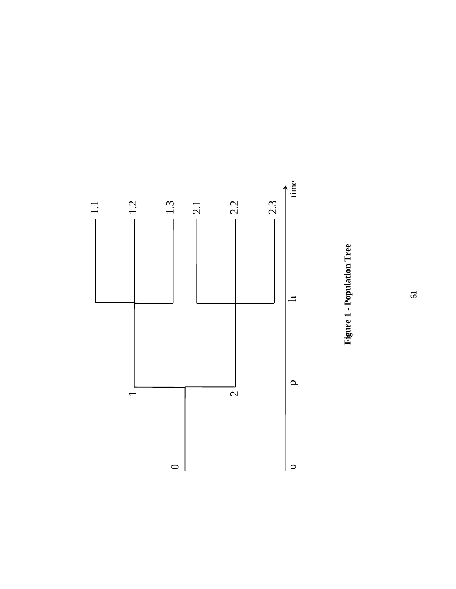

**Figure 1 - Population Tree Figure 1 - Population Tree**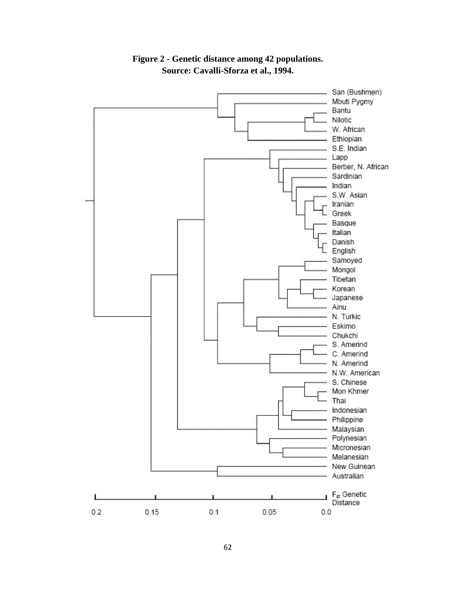

**Figure 2 - Genetic distance among 42 populations. Source: Cavalli-Sforza et al., 1994.**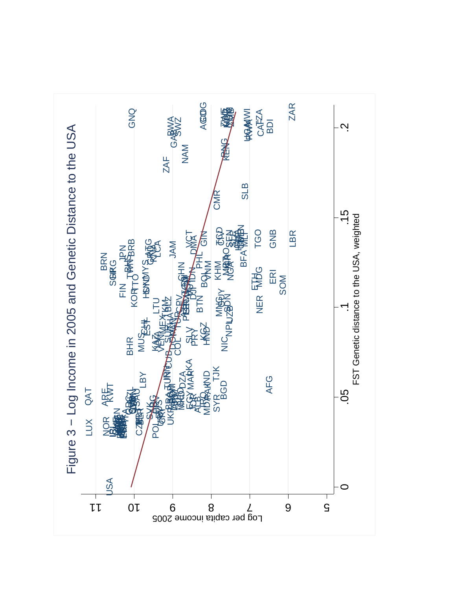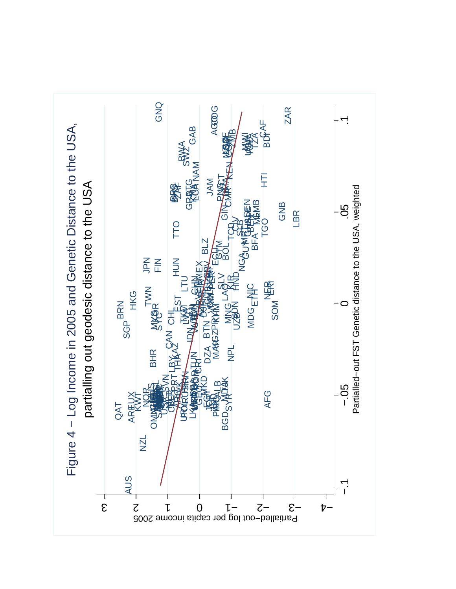